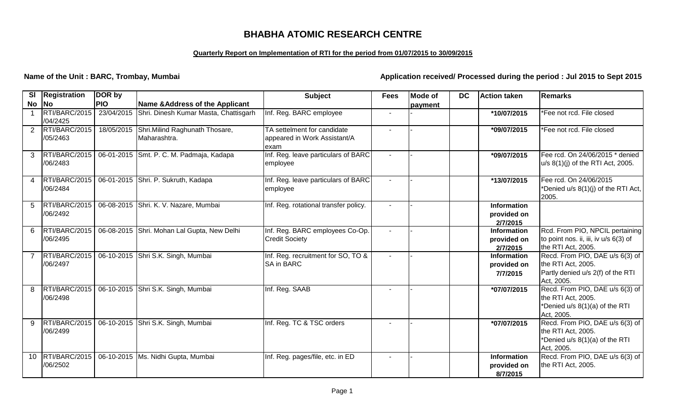# **BHABHA ATOMIC RESEARCH CENTRE**

## **Quarterly Report on Implementation of RTI for the period from 01/07/2015 to 30/09/2015**

**Name of the Unit : BARC, Trombay, Mumbai Application received/ Processed during the period : Jul 2015 to Sept 2015** 

| SI            | Registration              | DOR by     |                                                  | <b>Subject</b>                        | <b>Fees</b>              | <b>Mode of</b> | <b>DC</b> | Action taken                   | <b>Remarks</b>                                        |
|---------------|---------------------------|------------|--------------------------------------------------|---------------------------------------|--------------------------|----------------|-----------|--------------------------------|-------------------------------------------------------|
| <b>No</b>     | <b>No</b>                 | <b>PIO</b> | Name & Address of the Applicant                  |                                       |                          | payment        |           |                                |                                                       |
|               | RTI/BARC/2015             |            | 23/04/2015 Shri. Dinesh Kumar Masta, Chattisgarh | Inf. Reg. BARC employee               |                          |                |           | *10/07/2015                    | *Fee not rcd. File closed                             |
|               | /04/2425                  |            |                                                  |                                       |                          |                |           |                                |                                                       |
| 2             | RTI/BARC/2015             |            | 18/05/2015 Shri.Milind Raghunath Thosare,        | TA settelment for candidate           | $\overline{\phantom{a}}$ |                |           | *09/07/2015                    | *Fee not rcd. File closed                             |
|               | /05/2463                  |            | Maharashtra.                                     | appeared in Work Assistant/A          |                          |                |           |                                |                                                       |
|               |                           |            |                                                  | exam                                  |                          |                |           |                                |                                                       |
| $\mathcal{S}$ | RTI/BARC/2015<br>/06/2483 |            | 06-01-2015 Smt. P. C. M. Padmaja, Kadapa         | Inf. Reg. leave particulars of BARC   | $\blacksquare$           |                |           | *09/07/2015                    | Fee rcd. On 24/06/2015 * denied                       |
|               |                           |            |                                                  | employee                              |                          |                |           |                                | u/s 8(1)(j) of the RTI Act, 2005.                     |
| 4             | RTI/BARC/2015             |            | 06-01-2015 Shri. P. Sukruth, Kadapa              | Inf. Reg. leave particulars of BARC   | $\blacksquare$           |                |           | *13/07/2015                    | Fee rcd. On 24/06/2015                                |
|               | /06/2484                  |            |                                                  | employee                              |                          |                |           |                                | *Denied u/s 8(1)(j) of the RTI Act,                   |
|               |                           |            |                                                  |                                       |                          |                |           |                                | 2005.                                                 |
| 5             | RTI/BARC/2015             |            | 06-08-2015 Shri. K. V. Nazare, Mumbai            | Inf. Reg. rotational transfer policy. |                          |                |           | <b>Information</b>             |                                                       |
|               | /06/2492                  |            |                                                  |                                       |                          |                |           | provided on                    |                                                       |
|               |                           |            |                                                  |                                       |                          |                |           | 2/7/2015                       |                                                       |
| 6             | RTI/BARC/2015             |            | 06-08-2015 Shri. Mohan Lal Gupta, New Delhi      | Inf. Reg. BARC employees Co-Op.       | $\sim$                   |                |           | Information                    | Rcd. From PIO, NPCIL pertaining                       |
|               | /06/2495                  |            |                                                  | <b>Credit Society</b>                 |                          |                |           | provided on                    | to point nos. ii, iii, iv u/s 6(3) of                 |
|               | RTI/BARC/2015             |            | 06-10-2015 Shri S.K. Singh, Mumbai               | Inf. Reg. recruitment for SO, TO &    |                          |                |           | 2/7/2015<br><b>Information</b> | the RTI Act, 2005.<br>Recd. From PIO, DAE u/s 6(3) of |
|               | /06/2497                  |            |                                                  | <b>SA in BARC</b>                     |                          |                |           | provided on                    | the RTI Act, 2005.                                    |
|               |                           |            |                                                  |                                       |                          |                |           | 7/7/2015                       | Partly denied u/s 2(f) of the RTI                     |
|               |                           |            |                                                  |                                       |                          |                |           |                                | Act, 2005.                                            |
| 8             | RTI/BARC/2015             |            | 06-10-2015 Shri S.K. Singh, Mumbai               | Inf. Reg. SAAB                        | $\overline{\phantom{a}}$ |                |           | *07/07/2015                    | Recd. From PIO, DAE u/s 6(3) of                       |
|               | /06/2498                  |            |                                                  |                                       |                          |                |           |                                | the RTI Act, 2005.                                    |
|               |                           |            |                                                  |                                       |                          |                |           |                                | *Denied u/s 8(1)(a) of the RTI                        |
|               |                           |            |                                                  |                                       |                          |                |           |                                | Act, 2005.                                            |
| 9             | RTI/BARC/2015             |            | 06-10-2015 Shri S.K. Singh, Mumbai               | Inf. Reg. TC & TSC orders             | $\blacksquare$           |                |           | *07/07/2015                    | Recd. From PIO, DAE u/s 6(3) of                       |
|               | /06/2499                  |            |                                                  |                                       |                          |                |           |                                | the RTI Act, 2005.                                    |
|               |                           |            |                                                  |                                       |                          |                |           |                                | *Denied u/s 8(1)(a) of the RTI                        |
|               |                           |            |                                                  |                                       |                          |                |           |                                | Act, 2005.                                            |
| 10            | RTI/BARC/2015             |            | 06-10-2015   Ms. Nidhi Gupta, Mumbai             | Inf. Reg. pages/file, etc. in ED      |                          |                |           | <b>Information</b>             | Recd. From PIO, DAE u/s 6(3) of                       |
|               | /06/2502                  |            |                                                  |                                       |                          |                |           | provided on                    | the RTI Act, 2005.                                    |
|               |                           |            |                                                  |                                       |                          |                |           | 8/7/2015                       |                                                       |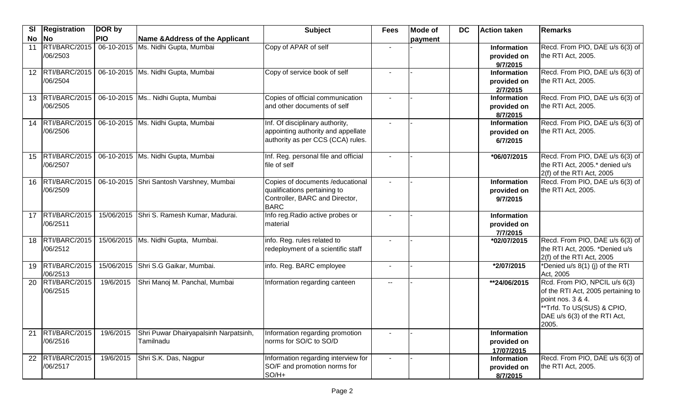| $\overline{\mathbf{S}}$ | Registration                 | DOR by     |                                                    | <b>Subject</b>                                                                                                     | <b>Fees</b>              | <b>Mode of</b> | <b>DC</b> | <b>Action taken</b>                             | Remarks                                                                                                                                                        |
|-------------------------|------------------------------|------------|----------------------------------------------------|--------------------------------------------------------------------------------------------------------------------|--------------------------|----------------|-----------|-------------------------------------------------|----------------------------------------------------------------------------------------------------------------------------------------------------------------|
| <b>No</b>               | $\overline{\mathsf{No}}$     | <b>PIO</b> | Name & Address of the Applicant                    |                                                                                                                    |                          | payment        |           |                                                 |                                                                                                                                                                |
| 11                      | RTI/BARC/2015<br>/06/2503    |            | 06-10-2015 Ms. Nidhi Gupta, Mumbai                 | Copy of APAR of self                                                                                               |                          |                |           | <b>Information</b><br>provided on<br>9/7/2015   | Recd. From PIO, DAE u/s 6(3) of<br>the RTI Act, 2005.                                                                                                          |
|                         | 12 RTI/BARC/2015<br>/06/2504 |            | 06-10-2015   Ms. Nidhi Gupta, Mumbai               | Copy of service book of self                                                                                       |                          |                |           | Information<br>provided on<br>2/7/2015          | Recd. From PIO, DAE u/s 6(3) of<br>the RTI Act, 2005.                                                                                                          |
| 13                      | RTI/BARC/2015<br>/06/2505    |            | 06-10-2015 Ms Nidhi Gupta, Mumbai                  | Copies of official communication<br>and other documents of self                                                    | $\mathbf{r}$             |                |           | Information<br>provided on<br>8/7/2015          | Recd. From PIO, DAE u/s 6(3) of<br>the RTI Act, 2005.                                                                                                          |
| 14                      | RTI/BARC/2015<br>/06/2506    |            | 06-10-2015 Ms. Nidhi Gupta, Mumbai                 | Inf. Of disciplinary authority,<br>appointing authority and appellate<br>authority as per CCS (CCA) rules.         |                          |                |           | <b>Information</b><br>provided on<br>6/7/2015   | Recd. From PIO, DAE u/s 6(3) of<br>the RTI Act, 2005.                                                                                                          |
|                         | 15 RTI/BARC/2015<br>/06/2507 |            | 06-10-2015 Ms. Nidhi Gupta, Mumbai                 | Inf. Reg. personal file and official<br>file of self                                                               |                          |                |           | *06/07/2015                                     | Recd. From PIO, DAE u/s 6(3) of<br>the RTI Act, 2005.* denied u/s<br>$2(f)$ of the RTI Act, 2005                                                               |
|                         | 16 RTI/BARC/2015<br>/06/2509 |            | 06-10-2015 Shri Santosh Varshney, Mumbai           | Copies of documents / educational<br>qualifications pertaining to<br>Controller, BARC and Director,<br><b>BARC</b> |                          |                |           | <b>Information</b><br>provided on<br>9/7/2015   | Recd. From PIO, DAE u/s 6(3) of<br>the RTI Act, 2005.                                                                                                          |
|                         | 17 RTI/BARC/2015<br>/06/2511 |            | 15/06/2015 Shri S. Ramesh Kumar, Madurai.          | Info reg. Radio active probes or<br>material                                                                       |                          |                |           | <b>Information</b><br>provided on<br>7/7/2015   |                                                                                                                                                                |
| 18                      | RTI/BARC/2015<br>/06/2512    |            | 15/06/2015 Ms. Nidhi Gupta, Mumbai.                | info. Reg. rules related to<br>redeployment of a scientific staff                                                  | $\sim$                   |                |           | *02/07/2015                                     | Recd. From PIO, DAE u/s 6(3) of<br>the RTI Act, 2005. *Denied u/s<br>2(f) of the RTI Act, 2005                                                                 |
|                         | 19 RTI/BARC/2015<br>/06/2513 |            | 15/06/2015 Shri S.G Gaikar, Mumbai.                | info. Reg. BARC employee                                                                                           | $\sim$                   |                |           | *2/07/2015                                      | *Denied u/s 8(1) (j) of the RTI<br>Act, 2005                                                                                                                   |
| 20                      | RTI/BARC/2015<br>/06/2515    | 19/6/2015  | Shri Manoj M. Panchal, Mumbai                      | Information regarding canteen                                                                                      | $\overline{\phantom{a}}$ |                |           | $\sqrt{\frac{1}{24}}$ 4/06/2015                 | Rcd. From PIO, NPCIL u/s 6(3)<br>of the RTI Act, 2005 pertaining to<br>point nos. 3 & 4.<br>"Trfd. To US(SUS) & CPIO,<br>DAE u/s 6(3) of the RTI Act,<br>2005. |
| 21                      | RTI/BARC/2015<br>/06/2516    | 19/6/2015  | Shri Puwar Dhairyapalsinh Narpatsinh,<br>Tamilnadu | Information regarding promotion<br>norms for SO/C to SO/D                                                          |                          |                |           | <b>Information</b><br>provided on<br>17/07/2015 |                                                                                                                                                                |
| 22                      | RTI/BARC/2015<br>/06/2517    | 19/6/2015  | Shri S.K. Das, Nagpur                              | Information regarding interview for<br>SO/F and promotion norms for<br>$SO/H+$                                     |                          |                |           | <b>Information</b><br>provided on<br>8/7/2015   | Recd. From PIO, DAE u/s 6(3) of<br>the RTI Act, 2005.                                                                                                          |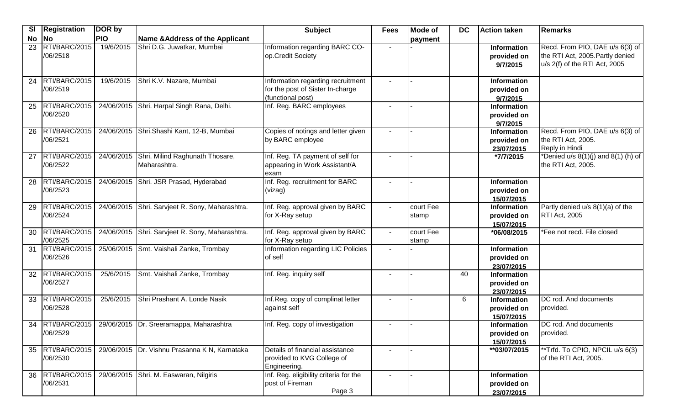| SI        | <b>Registration</b>           | DOR by     |                                                            | <b>Subject</b>                                                                             | <b>Fees</b> | <b>Mode of</b>     | <b>DC</b> | <b>Action taken</b>                             | Remarks                                                                                              |
|-----------|-------------------------------|------------|------------------------------------------------------------|--------------------------------------------------------------------------------------------|-------------|--------------------|-----------|-------------------------------------------------|------------------------------------------------------------------------------------------------------|
| <b>No</b> | No                            | <b>PIO</b> | Name & Address of the Applicant                            |                                                                                            |             | payment            |           |                                                 |                                                                                                      |
| 23        | RTI/BARC/2015<br>/06/2518     | 19/6/2015  | Shri D.G. Juwatkar, Mumbai                                 | Information regarding BARC CO-<br>op.Credit Society                                        |             |                    |           | Information<br>provided on<br>9/7/2015          | Recd. From PIO, DAE u/s 6(3) of<br>the RTI Act, 2005. Partly denied<br>u/s 2(f) of the RTI Act, 2005 |
| 24        | RTI/BARC/2015<br>/06/2519     | 19/6/2015  | Shri K.V. Nazare, Mumbai                                   | Information regarding recruitment<br>for the post of Sister In-charge<br>(functional post) |             |                    |           | <b>Information</b><br>provided on<br>9/7/2015   |                                                                                                      |
| 25        | RTI/BARC/2015<br>/06/2520     |            | 24/06/2015 Shri. Harpal Singh Rana, Delhi.                 | Inf. Reg. BARC employees                                                                   |             |                    |           | <b>Information</b><br>provided on<br>9/7/2015   |                                                                                                      |
| 26        | RTI/BARC/2015<br>/06/2521     |            | 24/06/2015 Shri.Shashi Kant, 12-B, Mumbai                  | Copies of notings and letter given<br>by BARC employee                                     |             |                    |           | <b>Information</b><br>provided on<br>23/07/2015 | Recd. From PIO, DAE u/s 6(3) of<br>the RTI Act, 2005.<br>Reply in Hindi                              |
| 27        | RTI/BARC/2015<br>/06/2522     |            | 24/06/2015 Shri. Milind Raghunath Thosare,<br>Maharashtra. | Inf. Reg. TA payment of self for<br>appearing in Work Assistant/A<br>exam                  |             |                    |           | *7/7/2015                                       | *Denied $u/s$ 8(1)(j) and 8(1) (h) of<br>the RTI Act, 2005.                                          |
| 28        | RTI/BARC/2015<br>/06/2523     |            | 24/06/2015 Shri. JSR Prasad, Hyderabad                     | Inf. Reg. recruitment for BARC<br>(vizag)                                                  |             |                    |           | <b>Information</b><br>provided on<br>15/07/2015 |                                                                                                      |
| 29        | RTI/BARC/2015<br>/06/2524     |            | 24/06/2015 Shri. Sarvjeet R. Sony, Maharashtra.            | Inf. Reg. approval given by BARC<br>for X-Ray setup                                        | $\sim$      | court Fee<br>stamp |           | Information<br>provided on<br>15/07/2015        | Partly denied u/s 8(1)(a) of the<br><b>RTI Act, 2005</b>                                             |
| 30        | RTI/BARC/2015<br>/06/2525     |            | 24/06/2015 Shri. Sarvjeet R. Sony, Maharashtra.            | Inf. Reg. approval given by BARC<br>for X-Ray setup                                        |             | court Fee<br>stamp |           | *06/08/2015                                     | *Fee not recd. File closed                                                                           |
| 31        | RTI/BARC/2015<br>/06/2526     |            | 25/06/2015 Smt. Vaishali Zanke, Trombay                    | Information regarding LIC Policies<br>of self                                              |             |                    |           | <b>Information</b><br>provided on<br>23/07/2015 |                                                                                                      |
| 32        | RTI/BARC/2015<br>/06/2527     | 25/6/2015  | Smt. Vaishali Zanke, Trombay                               | Inf. Reg. inquiry self                                                                     | $\sim$      |                    | 40        | <b>Information</b><br>provided on<br>23/07/2015 |                                                                                                      |
| 33        | RTI/BARC/2015<br>/06/2528     | 25/6/2015  | Shri Prashant A. Londe Nasik                               | Inf.Reg. copy of complinat letter<br>against self                                          |             |                    | 6         | <b>Information</b><br>provided on<br>15/07/2015 | DC rcd. And documents<br>provided.                                                                   |
| 34        | RTI/BARC/2015<br>/06/2529     |            | 29/06/2015   Dr. Sreeramappa, Maharashtra                  | Inf. Reg. copy of investigation                                                            |             |                    |           | <b>Information</b><br>provided on<br>15/07/2015 | DC rcd. And documents<br>provided.                                                                   |
|           | 35  RTI/BARC/2015<br>/06/2530 |            | 29/06/2015   Dr. Vishnu Prasanna K N, Karnataka            | Details of financial assistance<br>provided to KVG College of<br>Engineering.              |             |                    |           | **03/07/2015                                    | **Trfd. To CPIO, NPCIL u/s 6(3)<br>of the RTI Act, 2005.                                             |
| 36        | RTI/BARC/2015<br>/06/2531     |            | 29/06/2015 Shri. M. Easwaran, Nilgiris                     | Inf. Reg. eligibility criteria for the<br>post of Fireman<br>Page 3                        |             |                    |           | Information<br>provided on<br>23/07/2015        |                                                                                                      |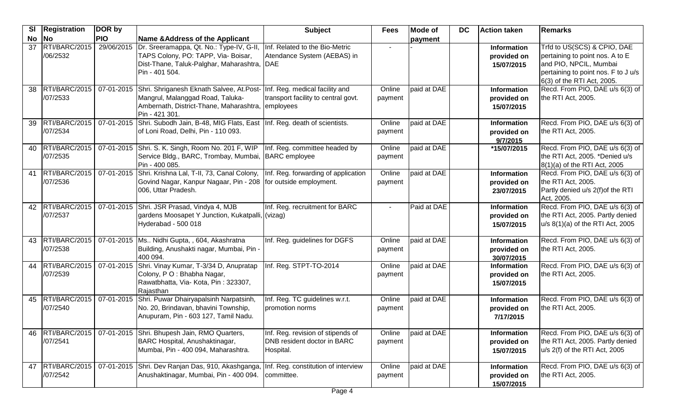| <b>SI</b> | Registration              | DOR by     |                                                                                                                                                                                               | <b>Subject</b>                                                                | <b>Fees</b>       | <b>Mode of</b> | DC | <b>Action taken</b>                             | Remarks                                                                                                                                                       |
|-----------|---------------------------|------------|-----------------------------------------------------------------------------------------------------------------------------------------------------------------------------------------------|-------------------------------------------------------------------------------|-------------------|----------------|----|-------------------------------------------------|---------------------------------------------------------------------------------------------------------------------------------------------------------------|
| No        | <b>No</b>                 | <b>PIO</b> | Name & Address of the Applicant                                                                                                                                                               |                                                                               |                   | payment        |    |                                                 |                                                                                                                                                               |
| 37        | RTI/BARC/2015<br>/06/2532 | 29/06/2015 | Dr. Sreeramappa, Qt. No.: Type-IV, G-II,<br>TAPS Colony, PO: TAPP, Via- Boisar,<br>Dist-Thane, Taluk-Palghar, Maharashtra, DAE<br>Pin - 401 504.                                              | Inf. Related to the Bio-Metric<br>Atendance System (AEBAS) in                 |                   |                |    | <b>Information</b><br>provided on<br>15/07/2015 | Trfd to US(SCS) & CPIO, DAE<br>pertaining to point nos. A to E<br>and PIO, NPCIL, Mumbai<br>pertaining to point nos. F to J u/s<br>6(3) of the RTI Act, 2005. |
| 38        | RTI/BARC/2015<br>/07/2533 |            | 07-01-2015 Shri. Shriganesh Eknath Salvee, At.Post- Inf. Reg. medical facility and<br>Mangrul, Malanggad Road, Taluka-<br>Ambernath, District-Thane, Maharashtra, employees<br>Pin - 421 301. | transport facility to central govt.                                           | Online<br>payment | paid at DAE    |    | Information<br>provided on<br>15/07/2015        | Recd. From PIO, DAE u/s 6(3) of<br>the RTI Act, 2005.                                                                                                         |
| 39        | RTI/BARC/2015<br>/07/2534 |            | 07-01-2015 Shri. Subodh Jain, B-48, MIG Flats, East Inf. Reg. death of scientists.<br>of Loni Road, Delhi, Pin - 110 093.                                                                     |                                                                               | Online<br>payment | paid at DAE    |    | <b>Information</b><br>provided on<br>9/7/2015   | Recd. From PIO, DAE u/s 6(3) of<br>the RTI Act, 2005.                                                                                                         |
| 40        | RTI/BARC/2015<br>/07/2535 |            | 07-01-2015 Shri. S. K. Singh, Room No. 201 F, WIP<br>Service Bldg., BARC, Trombay, Mumbai, BARC employee<br>Pin - 400 085.                                                                    | Inf. Reg. committee headed by                                                 | Online<br>payment | paid at DAE    |    | *15/07/2015                                     | Recd. From PIO, DAE u/s 6(3) of<br>the RTI Act, 2005. *Denied u/s<br>8(1)(a) of the RTI Act, 2005                                                             |
| 41        | RTI/BARC/2015<br>/07/2536 |            | 07-01-2015 Shri. Krishna Lal, T-II, 73, Canal Colony, Inf. Reg. forwarding of application<br>Govind Nagar, Kanpur Nagaar, Pin - 208 for outside employment.<br>006, Uttar Pradesh.            |                                                                               | Online<br>payment | paid at DAE    |    | <b>Information</b><br>provided on<br>23/07/2015 | Recd. From PIO, DAE u/s 6(3) of<br>the RTI Act, 2005.<br>Partly denied u/s 2(f) of the RTI<br>Act, 2005.                                                      |
| 42        | RTI/BARC/2015<br>/07/2537 |            | 07-01-2015 Shri. JSR Prasad, Vindya 4, MJB<br>gardens Moosapet Y Junction, Kukatpalli, (vizag)<br>Hyderabad - 500 018                                                                         | Inf. Reg. recruitment for BARC                                                |                   | Paid at DAE    |    | Information<br>provided on<br>15/07/2015        | Recd. From PIO, DAE u/s 6(3) of<br>the RTI Act, 2005. Partly denied<br>$u/s$ 8(1)(a) of the RTI Act, 2005                                                     |
| 43        | RTI/BARC/2015<br>/07/2538 |            | 07-01-2015   Ms Nidhi Gupta, , 604, Akashratna<br>Building, Anushakti nagar, Mumbai, Pin -<br>400 094.                                                                                        | Inf. Reg. guidelines for DGFS                                                 | Online<br>payment | paid at DAE    |    | <b>Information</b><br>provided on<br>30/07/2015 | Recd. From PIO, DAE u/s 6(3) of<br>the RTI Act, 2005.                                                                                                         |
| 44        | RTI/BARC/2015<br>/07/2539 | 07-01-2015 | Shri. Vinay Kumar, T-3/34 D, Anupratap<br>Colony, PO: Bhabha Nagar,<br>Rawatbhatta, Via- Kota, Pin: 323307,<br>Rajasthan                                                                      | Inf. Reg. STPT-TO-2014                                                        | Online<br>payment | paid at DAE    |    | <b>Information</b><br>provided on<br>15/07/2015 | Recd. From PIO, DAE u/s 6(3) of<br>the RTI Act, 2005.                                                                                                         |
| 45        | RTI/BARC/2015<br>/07/2540 |            | 07-01-2015 Shri. Puwar Dhairyapalsinh Narpatsinh,<br>No. 20, Brindavan, bhavini Township,<br>Anupuram, Pin - 603 127, Tamil Nadu.                                                             | Inf. Reg. TC guidelines w.r.t.<br>promotion norms                             | Online<br>payment | paid at DAE    |    | <b>Information</b><br>provided on<br>7/17/2015  | Recd. From PIO, DAE u/s 6(3) of<br>the RTI Act, 2005.                                                                                                         |
| 46        | RTI/BARC/2015<br>/07/2541 |            | 07-01-2015 Shri. Bhupesh Jain, RMO Quarters,<br>BARC Hospital, Anushaktinagar,<br>Mumbai, Pin - 400 094, Maharashtra.                                                                         | Inf. Reg. revision of stipends of<br>DNB resident doctor in BARC<br>Hospital. | Online<br>payment | paid at DAE    |    | Information<br>provided on<br>15/07/2015        | Recd. From PIO, DAE u/s 6(3) of<br>the RTI Act, 2005. Partly denied<br>u/s 2(f) of the RTI Act, 2005                                                          |
| 47        | RTI/BARC/2015<br>/07/2542 |            | 07-01-2015 Shri. Dev Ranjan Das, 910, Akashganga,<br>Anushaktinagar, Mumbai, Pin - 400 094.                                                                                                   | Inf. Reg. constitution of interview<br>committee.                             | Online<br>payment | paid at DAE    |    | Information<br>provided on<br>15/07/2015        | Recd. From PIO, DAE u/s 6(3) of<br>the RTI Act, 2005.                                                                                                         |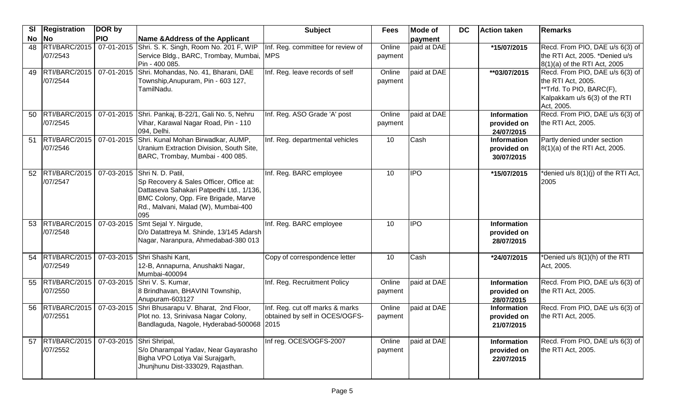| $\overline{\mathbf{S}}$ | <b>Registration</b>       | DOR by                   |                                                                                                                                                                                                           | <b>Subject</b>                                                    | <b>Fees</b>       | <b>Mode of</b> | <b>DC</b> | Action taken                                    | <b>Remarks</b>                                                                                                                   |
|-------------------------|---------------------------|--------------------------|-----------------------------------------------------------------------------------------------------------------------------------------------------------------------------------------------------------|-------------------------------------------------------------------|-------------------|----------------|-----------|-------------------------------------------------|----------------------------------------------------------------------------------------------------------------------------------|
| <b>No</b>               | No                        | <b>PIO</b>               | Name & Address of the Applicant                                                                                                                                                                           |                                                                   |                   | payment        |           |                                                 |                                                                                                                                  |
| 48                      | /07/2543                  |                          | RTI/BARC/2015   07-01-2015   Shri. S. K. Singh, Room No. 201 F, WIP<br>Service Bldg., BARC, Trombay, Mumbai, MPS<br>Pin - 400 085.                                                                        | Inf. Reg. committee for review of                                 | Online<br>payment | paid at DAE    |           | *15/07/2015                                     | Recd. From PIO, DAE u/s 6(3) of<br>the RTI Act, 2005. *Denied u/s<br>8(1)(a) of the RTI Act, 2005                                |
| 49                      | RTI/BARC/2015<br>/07/2544 | 07-01-2015               | Shri. Mohandas, No. 41, Bharani, DAE<br>Township, Anupuram, Pin - 603 127,<br>TamilNadu.                                                                                                                  | Inf. Reg. leave records of self                                   | Online<br>payment | paid at DAE    |           | **03/07/2015                                    | Recd. From PIO, DAE u/s 6(3) of<br>the RTI Act, 2005.<br>**Trfd. To PIO, BARC(F),<br>Kalpakkam u/s 6(3) of the RTI<br>Act, 2005. |
| 50                      | RTI/BARC/2015<br>/07/2545 |                          | 07-01-2015 Shri. Pankaj, B-22/1, Gali No. 5, Nehru<br>Vihar, Karawal Nagar Road, Pin - 110<br>094, Delhi.                                                                                                 | Inf. Reg. ASO Grade 'A' post                                      | Online<br>payment | paid at DAE    |           | <b>Information</b><br>provided on<br>24/07/2015 | Recd. From PIO, DAE u/s 6(3) of<br>the RTI Act, 2005.                                                                            |
| 51                      | RTI/BARC/2015<br>/07/2546 |                          | 07-01-2015 Shri. Kunal Mohan Birwadkar, AUMP,<br>Uranium Extraction Division, South Site,<br>BARC, Trombay, Mumbai - 400 085.                                                                             | Inf. Reg. departmental vehicles                                   | 10                | Cash           |           | <b>Information</b><br>provided on<br>30/07/2015 | Partly denied under section<br>8(1)(a) of the RTI Act, 2005.                                                                     |
| 52                      | RTI/BARC/2015<br>/07/2547 |                          | 07-03-2015 Shri N. D. Patil,<br>Sp Recovery & Sales Officer, Office at:<br>Dattaseva Sahakari Patpedhi Ltd., 1/136,<br>BMC Colony, Opp. Fire Brigade, Marve<br>Rd., Malvani, Malad (W), Mumbai-400<br>095 | Inf. Reg. BARC employee                                           | 10                | <b>IPO</b>     |           | *15/07/2015                                     | *denied u/s 8(1)(j) of the RTI Act,<br>2005                                                                                      |
| 53                      | RTI/BARC/2015<br>/07/2548 | 07-03-2015               | Smt Sejal Y. Nirgude,<br>D/o Datattreya M. Shinde, 13/145 Adarsh<br>Nagar, Naranpura, Ahmedabad-380 013                                                                                                   | Inf. Reg. BARC employee                                           | 10                | <b>IPO</b>     |           | <b>Information</b><br>provided on<br>28/07/2015 |                                                                                                                                  |
| 54                      | RTI/BARC/2015<br>/07/2549 |                          | 07-03-2015 Shri Shashi Kant,<br>12-B, Annapurna, Anushakti Nagar,<br>Mumbai-400094                                                                                                                        | Copy of correspondence letter                                     | 10                | Cash           |           | *24/07/2015                                     | *Denied u/s 8(1)(h) of the RTI<br>Act, 2005.                                                                                     |
| 55                      | RTI/BARC/2015<br>/07/2550 |                          | 07-03-2015 Shri V. S. Kumar,<br>8 Brindhavan, BHAVINI Township,<br>Anupuram-603127                                                                                                                        | Inf. Reg. Recruitment Policy                                      | Online<br>payment | paid at DAE    |           | <b>Information</b><br>provided on<br>28/07/2015 | Recd. From PIO, DAE u/s 6(3) of<br>the RTI Act, 2005.                                                                            |
| 56                      | RTI/BARC/2015<br>/07/2551 |                          | 07-03-2015 Shri Bhusarapu V. Bharat, 2nd Floor,<br>Plot no. 13, Srinivasa Nagar Colony,<br>Bandlaguda, Nagole, Hyderabad-500068 2015                                                                      | Inf. Reg. cut off marks & marks<br>obtained by self in OCES/OGFS- | Online<br>payment | paid at DAE    |           | <b>Information</b><br>provided on<br>21/07/2015 | Recd. From PIO, DAE u/s 6(3) of<br>the RTI Act, 2005.                                                                            |
| 57                      | RTI/BARC/2015<br>/07/2552 | 07-03-2015 Shri Shripal, | S/o Dharampal Yadav, Near Gayarasho<br>Bigha VPO Lotiya Vai Surajgarh,<br>Jhunjhunu Dist-333029, Rajasthan.                                                                                               | Inf reg. OCES/OGFS-2007                                           | Online<br>payment | paid at DAE    |           | Information<br>provided on<br>22/07/2015        | Recd. From PIO, DAE u/s 6(3) of<br>the RTI Act, 2005.                                                                            |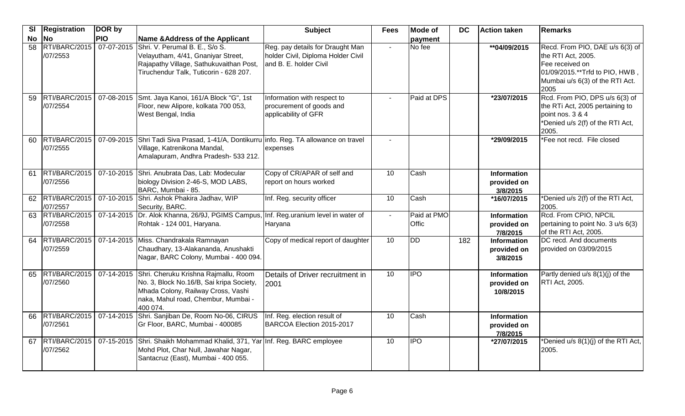| <b>SI</b>       | <b>Registration</b>          | DOR by     |                                                                                                                                                                                      | <b>Subject</b>                                                                                   | <b>Fees</b>     | <b>Mode of</b>       | <b>DC</b> | Action taken                                   | Remarks                                                                                                                                               |
|-----------------|------------------------------|------------|--------------------------------------------------------------------------------------------------------------------------------------------------------------------------------------|--------------------------------------------------------------------------------------------------|-----------------|----------------------|-----------|------------------------------------------------|-------------------------------------------------------------------------------------------------------------------------------------------------------|
| <b>No</b>       | <b>No</b>                    | <b>PIO</b> | Name & Address of the Applicant                                                                                                                                                      |                                                                                                  |                 | payment              |           |                                                |                                                                                                                                                       |
| $\overline{58}$ | RTI/BARC/2015<br>/07/2553    | 07-07-2015 | Shri. V. Perumal B. E., S/o S.<br>Velayutham, 4/41, Gnaniyar Street,<br>Rajapathy Village, Sathukuvaithan Post,<br>Tiruchendur Talk, Tuticorin - 628 207.                            | Reg. pay details for Draught Man<br>holder Civil, Diploma Holder Civil<br>and B. E. holder Civil | $\blacksquare$  | No fee               |           | **04/09/2015                                   | Recd. From PIO, DAE u/s 6(3) of<br>the RTI Act, 2005.<br>Fee received on<br>01/09/2015.**Trfd to PIO, HWB,<br>Mumbai u/s 6(3) of the RTI Act.<br>2005 |
| 59              | RTI/BARC/2015<br>/07/2554    |            | 07-08-2015 Smt. Jaya Kanoi, 161/A Block "G", 1st<br>Floor, new Alipore, kolkata 700 053,<br>West Bengal, India                                                                       | Information with respect to<br>procurement of goods and<br>applicability of GFR                  |                 | Paid at DPS          |           | *23/07/2015                                    | Rcd. From PIO, DPS u/s 6(3) of<br>the RTi Act, 2005 pertaining to<br>point nos. 3 & 4<br>*Denied u/s 2(f) of the RTI Act,<br>2005.                    |
| 60              | RTI/BARC/2015<br>/07/2555    |            | 07-09-2015 Shri Tadi Siva Prasad, 1-41/A, Dontikurru info. Reg. TA allowance on travel<br>Village, Katrenikona Mandal,<br>Amalapuram, Andhra Pradesh- 533 212.                       | expenses                                                                                         |                 |                      |           | *29/09/2015                                    | *Fee not recd. File closed                                                                                                                            |
| 61              | RTI/BARC/2015<br>/07/2556    |            | 07-10-2015 Shri. Anubrata Das, Lab: Modecular<br>biology Division 2-46-S, MOD LABS,<br>BARC, Mumbai - 85.                                                                            | Copy of CR/APAR of self and<br>report on hours worked                                            | 10              | Cash                 |           | <b>Information</b><br>provided on<br>3/8/2015  |                                                                                                                                                       |
|                 | 62 RTI/BARC/2015<br>/07/2557 |            | 07-10-2015 Shri. Ashok Phakira Jadhav, WIP<br>Security, BARC.                                                                                                                        | Inf. Reg. security officer                                                                       | $\overline{10}$ | Cash                 |           | *16/07/2015                                    | *Denied u/s 2(f) of the RTI Act,<br>2005.                                                                                                             |
|                 | 63 RTI/BARC/2015<br>/07/2558 | 07-14-2015 | Dr. Alok Khanna, 26/9J, PGIMS Campus, Inf. Reg.uranium level in water of<br>Rohtak - 124 001, Haryana.                                                                               | Haryana                                                                                          | $\blacksquare$  | Paid at PMO<br>Offic |           | <b>Information</b><br>provided on<br>7/8/2015  | Rcd. From CPIO, NPCIL<br>pertaining to point No. 3 u/s 6(3)<br>of the RTI Act, 2005.                                                                  |
|                 | 64 RTI/BARC/2015<br>/07/2559 |            | 07-14-2015 Miss. Chandrakala Ramnayan<br>Chaudhary, 13-Alakananda, Anushakti<br>Nagar, BARC Colony, Mumbai - 400 094.                                                                | Copy of medical report of daughter                                                               | 10              | <b>DD</b>            | 182       | Information<br>provided on<br>3/8/2015         | DC recd. And documents<br>provided on 03/09/2015                                                                                                      |
| 65              | RTI/BARC/2015<br>/07/2560    |            | 07-14-2015 Shri. Cheruku Krishna Rajmallu, Room<br>No. 3, Block No.16/B, Sai kripa Society,<br>Mhada Colony, Railway Cross, Vashi<br>naka, Mahul road, Chembur, Mumbai -<br>400 074. | Details of Driver recruitment in<br>2001                                                         | 10 <sup>°</sup> | <b>IPO</b>           |           | <b>Information</b><br>provided on<br>10/8/2015 | Partly denied u/s 8(1)(j) of the<br><b>RTI Act, 2005.</b>                                                                                             |
| 66              | RTI/BARC/2015<br>/07/2561    | 07-14-2015 | Shri. Sanjiban De, Room No-06, CIRUS<br>Gr Floor, BARC, Mumbai - 400085                                                                                                              | Inf. Reg. election result of<br>BARCOA Election 2015-2017                                        | 10              | Cash                 |           | <b>Information</b><br>provided on<br>7/8/2015  |                                                                                                                                                       |
| 67              | RTI/BARC/2015<br>/07/2562    |            | 07-15-2015 Shri. Shaikh Mohammad Khalid, 371, Yar Inf. Reg. BARC employee<br>Mohd Plot, Char Null, Jawahar Nagar,<br>Santacruz (East), Mumbai - 400 055.                             |                                                                                                  | 10              | <b>IPO</b>           |           | *27/07/2015                                    | *Denied u/s 8(1)(j) of the RTI Act,<br>2005.                                                                                                          |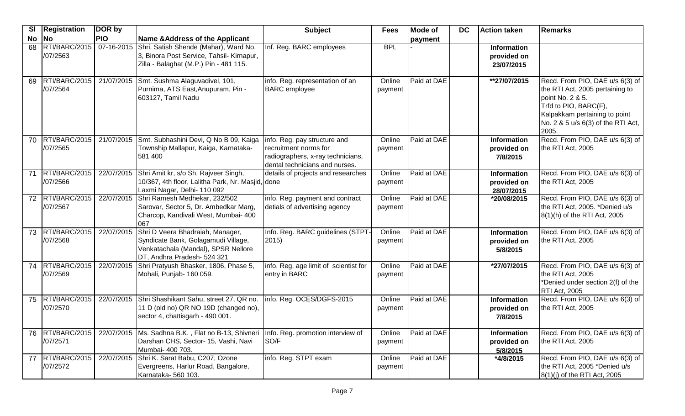|       | SI   Registration              | DOR by     |                                                                                                                                               | <b>Subject</b>                                                                                                               | <b>Fees</b>       | <b>Mode of</b> | DC | <b>Action taken</b>                             | <b>Remarks</b>                                                                                                                                                                                  |
|-------|--------------------------------|------------|-----------------------------------------------------------------------------------------------------------------------------------------------|------------------------------------------------------------------------------------------------------------------------------|-------------------|----------------|----|-------------------------------------------------|-------------------------------------------------------------------------------------------------------------------------------------------------------------------------------------------------|
| No No |                                | <b>PIO</b> | Name & Address of the Applicant                                                                                                               |                                                                                                                              |                   | payment        |    |                                                 |                                                                                                                                                                                                 |
|       | 68 RTI/BARC/2015<br>/07/2563   | 07-16-2015 | Shri. Satish Shende (Mahar), Ward No.<br>3, Binora Post Service, Tahsil- Kirnapur,<br>Zilla - Balaghat (M.P.) Pin - 481 115.                  | Inf. Reg. BARC employees                                                                                                     | <b>BPL</b>        |                |    | <b>Information</b><br>provided on<br>23/07/2015 |                                                                                                                                                                                                 |
|       | 69 RTI/BARC/2015<br>/07/2564   | 21/07/2015 | Smt. Sushma Alaguvadivel, 101,<br>Purnima, ATS East, Anupuram, Pin -<br>603127, Tamil Nadu                                                    | info. Reg. representation of an<br><b>BARC</b> employee                                                                      | Online<br>payment | Paid at DAE    |    | **27/07/2015                                    | Recd. From PIO, DAE u/s 6(3) of<br>the RTI Act, 2005 pertaining to<br>point No. 2 & 5.<br>Trfd to PIO, BARC(F),<br>Kalpakkam pertaining to point<br>No. 2 & 5 u/s 6(3) of the RTI Act,<br>2005. |
| 70    | RTI/BARC/2015<br>/07/2565      | 21/07/2015 | Smt. Subhashini Devi, Q No B 09, Kaiga<br>Township Mallapur, Kaiga, Karnataka-<br>581 400                                                     | info. Reg. pay structure and<br>recruitment norms for<br>radiographers, x-ray technicians,<br>dental technicians and nurses. | Online<br>payment | Paid at DAE    |    | <b>Information</b><br>provided on<br>7/8/2015   | Recd. From PIO, DAE u/s 6(3) of<br>the RTI Act, 2005                                                                                                                                            |
| 71    | RTI/BARC/2015<br>/07/2566      | 22/07/2015 | Shri Amit kr, s/o Sh. Rajveer Singh,<br>10/367, 4th floor, Lalitha Park, Nr. Masjid, done<br>Laxmi Nagar, Delhi- 110 092                      | details of projects and researches                                                                                           | Online<br>payment | Paid at DAE    |    | <b>Information</b><br>provided on<br>28/07/2015 | Recd. From PIO, DAE u/s 6(3) of<br>the RTI Act, 2005                                                                                                                                            |
|       | 72   RTI/BARC/2015<br>/07/2567 | 22/07/2015 | Shri Ramesh Medhekar, 232/502<br>Sarovar, Sector 5, Dr. Ambedkar Marg,<br>Charcop, Kandivali West, Mumbai- 400<br>067                         | info. Reg. payment and contract<br>detials of advertising agency                                                             | Online<br>payment | Paid at DAE    |    | *20/08/2015                                     | Recd. From PIO, DAE u/s 6(3) of<br>the RTI Act, 2005. *Denied u/s<br>8(1)(h) of the RTI Act, 2005                                                                                               |
|       | 73   RTI/BARC/2015<br>/07/2568 | 22/07/2015 | Shri D Veera Bhadraiah, Manager,<br>Syndicate Bank, Golagamudi Village,<br>Venkatachala (Mandal), SPSR Nellore<br>DT, Andhra Pradesh- 524 321 | Info. Reg. BARC guidelines (STPT-<br>2015)                                                                                   | Online<br>payment | Paid at DAE    |    | Information<br>provided on<br>5/8/2015          | Recd. From PIO, DAE u/s 6(3) of<br>the RTI Act, 2005                                                                                                                                            |
|       | 74   RTI/BARC/2015<br>/07/2569 | 22/07/2015 | Shri Pratyush Bhasker, 1806, Phase 5,<br>Mohali, Punjab- 160 059.                                                                             | info. Reg. age limit of scientist for<br>entry in BARC                                                                       | Online<br>payment | Paid at DAE    |    | *27/07/2015                                     | Recd. From PIO, DAE u/s 6(3) of<br>the RTI Act, 2005<br>*Denied under section 2(f) of the<br><b>RTI Act, 2005</b>                                                                               |
| 75    | RTI/BARC/2015<br>/07/2570      | 22/07/2015 | Shri Shashikant Sahu, street 27, QR no.<br>11 D (old no) QR NO 19D (changed no),<br>sector 4, chattisgarh - 490 001.                          | info. Reg. OCES/DGFS-2015                                                                                                    | Online<br>payment | Paid at DAE    |    | <b>Information</b><br>provided on<br>7/8/2015   | Recd. From PIO, DAE u/s 6(3) of<br>the RTI Act, 2005                                                                                                                                            |
|       | 76   RTI/BARC/2015<br>/07/2571 |            | 22/07/2015   Ms. Sadhna B.K., Flat no B-13, Shivneri<br>Darshan CHS, Sector- 15, Vashi, Navi<br>Mumbai- 400 703.                              | Info. Reg. promotion interview of<br>SO/F                                                                                    | Online<br>payment | Paid at DAE    |    | Information<br>provided on<br>5/8/2015          | Recd. From PIO, DAE u/s 6(3) of<br>the RTI Act, 2005                                                                                                                                            |
|       | 77   RTI/BARC/2015<br>/07/2572 | 22/07/2015 | Shri K. Sarat Babu, C207, Ozone<br>Evergreens, Harlur Road, Bangalore,<br>Karnataka- 560 103.                                                 | info. Reg. STPT exam                                                                                                         | Online<br>payment | Paid at DAE    |    | *4/8/2015                                       | Recd. From PIO, DAE u/s 6(3) of<br>the RTI Act, 2005 *Denied u/s<br>8(1)(j) of the RTI Act, 2005                                                                                                |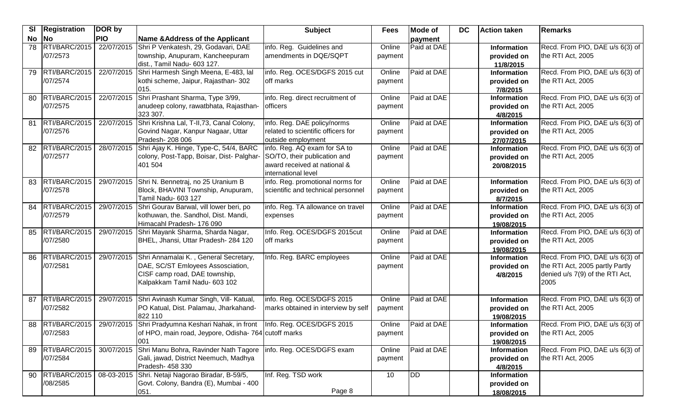| SI        | <b>Registration</b> | DOR by     |                                                                            | <b>Subject</b>                                      | <b>Fees</b> | <b>Mode of</b> | <b>DC</b> | <b>Action taken</b>            | Remarks                         |
|-----------|---------------------|------------|----------------------------------------------------------------------------|-----------------------------------------------------|-------------|----------------|-----------|--------------------------------|---------------------------------|
| <b>No</b> | <b>No</b>           | <b>PIO</b> | Name & Address of the Applicant                                            |                                                     |             | payment        |           |                                |                                 |
| 78        | RTI/BARC/2015       | 22/07/2015 | Shri P Venkatesh, 29, Godavari, DAE                                        | info. Reg. Guidelines and                           | Online      | Paid at DAE    |           | <b>Information</b>             | Recd. From PIO, DAE u/s 6(3) of |
|           | /07/2573            |            | township, Anupuram, Kancheepuram                                           | amendments in DQE/SQPT                              | payment     |                |           | provided on                    | the RTI Act, 2005               |
|           |                     |            | dist., Tamil Nadu- 603 127.                                                |                                                     |             |                |           | 11/8/2015                      |                                 |
| 79        | RTI/BARC/2015       | 22/07/2015 | Shri Harmesh Singh Meena, E-483, lal                                       | info. Reg. OCES/DGFS 2015 cut                       | Online      | Paid at DAE    |           | <b>Information</b>             | Recd. From PIO, DAE u/s 6(3) of |
|           | /07/2574            |            | kothi scheme, Jaipur, Rajasthan- 302                                       | off marks                                           | payment     |                |           | provided on                    | the RTI Act, 2005               |
|           |                     |            | 015.                                                                       |                                                     |             |                |           | 7/8/2015                       |                                 |
| 80        | RTI/BARC/2015       | 22/07/2015 | Shri Prashant Sharma, Type 3/99,                                           | info. Reg. direct recruitment of                    | Online      | Paid at DAE    |           | Information                    | Recd. From PIO, DAE u/s 6(3) of |
|           | /07/2575            |            | anudeep colony, rawatbhata, Rajasthan-                                     | officers                                            | payment     |                |           | provided on                    | the RTI Act, 2005               |
|           |                     |            | 323 307.                                                                   |                                                     |             |                |           | 4/8/2015                       |                                 |
| 81        | RTI/BARC/2015       | 22/07/2015 | Shri Krishna Lal, T-II, 73, Canal Colony,                                  | info. Reg. DAE policy/norms                         | Online      | Paid at DAE    |           | Information                    | Recd. From PIO, DAE u/s 6(3) of |
|           | /07/2576            |            | Govind Nagar, Kanpur Nagaar, Uttar                                         | related to scientific officers for                  | payment     |                |           | provided on                    | the RTI Act, 2005               |
|           |                     |            | Pradesh-208 006                                                            | outside employment                                  |             |                |           | 27/07/2015                     |                                 |
| 82        | RTI/BARC/2015       | 28/07/2015 | Shri Ajay K. Hinge, Type-C, 54/4, BARC                                     | info. Reg. AQ exam for SA to                        | Online      | Paid at DAE    |           | <b>Information</b>             | Recd. From PIO, DAE u/s 6(3) of |
|           | /07/2577            |            | colony, Post-Tapp, Boisar, Dist- Palghar-                                  | SO/TO, their publication and                        | payment     |                |           | provided on                    | the RTI Act, 2005               |
|           |                     |            | 401 504                                                                    | award received at national &<br>international level |             |                |           | 20/08/2015                     |                                 |
| 83        | RTI/BARC/2015       |            | 29/07/2015 Shri N. Bennetraj, no 25 Uranium B                              | info. Reg. promotional norms for                    | Online      | Paid at DAE    |           | <b>Information</b>             | Recd. From PIO, DAE u/s 6(3) of |
|           | /07/2578            |            | Block, BHAVINI Township, Anupuram,                                         | scientific and technical personnel                  | payment     |                |           |                                | the RTI Act, 2005               |
|           |                     |            | Tamil Nadu- 603 127                                                        |                                                     |             |                |           | provided on                    |                                 |
| 84        | RTI/BARC/2015       | 29/07/2015 | Shri Gourav Barwal, vill lower beri, po                                    | info. Reg. TA allowance on travel                   | Online      | Paid at DAE    |           | 8/7/2015<br><b>Information</b> | Recd. From PIO, DAE u/s 6(3) of |
|           | /07/2579            |            | kothuwan, the. Sandhol, Dist. Mandi,                                       | expenses                                            | payment     |                |           | provided on                    | the RTI Act, 2005               |
|           |                     |            | Himacahl Pradesh- 176 090                                                  |                                                     |             |                |           | 19/08/2015                     |                                 |
| 85        | RTI/BARC/2015       | 29/07/2015 | Shri Mayank Sharma, Sharda Nagar,                                          | Info. Reg. OCES/DGFS 2015cut                        | Online      | Paid at DAE    |           | Information                    | Recd. From PIO, DAE u/s 6(3) of |
|           | /07/2580            |            | BHEL, Jhansi, Uttar Pradesh- 284 120                                       | off marks                                           | payment     |                |           | provided on                    | the RTI Act, 2005               |
|           |                     |            |                                                                            |                                                     |             |                |           | 19/08/2015                     |                                 |
| 86        | RTI/BARC/2015       | 29/07/2015 | Shri Annamalai K., General Secretary,                                      | Info. Reg. BARC employees                           | Online      | Paid at DAE    |           | <b>Information</b>             | Recd. From PIO, DAE u/s 6(3) of |
|           | /07/2581            |            | DAE, SC/ST Emloyees Assosciation,                                          |                                                     | payment     |                |           | provided on                    | the RTI Act, 2005 partly Partly |
|           |                     |            | CISF camp road, DAE township,                                              |                                                     |             |                |           | 4/8/2015                       | denied u/s 7(9) of the RTI Act, |
|           |                     |            | Kalpakkam Tamil Nadu- 603 102                                              |                                                     |             |                |           |                                | 2005                            |
|           |                     |            |                                                                            |                                                     |             |                |           |                                |                                 |
| 87        | RTI/BARC/2015       |            | 29/07/2015 Shri Avinash Kumar Singh, Vill- Katual,                         | info. Reg. OCES/DGFS 2015                           | Online      | Paid at DAE    |           | Information                    | Recd. From PIO, DAE u/s 6(3) of |
|           | /07/2582            |            | PO Katual, Dist. Palamau, Jharkahand-                                      | marks obtained in interview by self                 | payment     |                |           | provided on                    | the RTI Act, 2005               |
|           |                     |            | 822 110                                                                    |                                                     |             |                |           | 19/08/2015                     |                                 |
| 88        | RTI/BARC/2015       |            | 29/07/2015 Shri Pradyumna Keshari Nahak, in front                          | Info. Reg. OCES/DGFS 2015                           | Online      | Paid at DAE    |           | <b>Information</b>             | Recd. From PIO, DAE u/s 6(3) of |
|           | /07/2583            |            | of HPO, main road, Jeypore, Odisha- 764 cutoff marks                       |                                                     | payment     |                |           | provided on                    | the RTI Act, 2005               |
|           |                     |            | 001                                                                        |                                                     |             |                |           | 19/08/2015                     |                                 |
| 89        | RTI/BARC/2015       |            | 30/07/2015 Shri Manu Bohra, Ravinder Nath Tagore info. Reg. OCES/DGFS exam |                                                     | Online      | Paid at DAE    |           | <b>Information</b>             | Recd. From PIO, DAE u/s 6(3) of |
|           | /07/2584            |            | Gali, jawad, District Neemuch, Madhya                                      |                                                     | payment     |                |           | provided on                    | the RTI Act, 2005               |
|           |                     |            | Pradesh- 458 330                                                           |                                                     |             |                |           | 4/8/2015                       |                                 |
| 90        | RTI/BARC/2015       | 08-03-2015 | Shri. Netaji Nagorao Biradar, B-59/5,                                      | Inf. Reg. TSD work                                  | 10          | DD             |           | <b>Information</b>             |                                 |
|           | /08/2585            |            | Govt. Colony, Bandra (E), Mumbai - 400                                     |                                                     |             |                |           | provided on                    |                                 |
|           |                     |            | 051.                                                                       | Page 8                                              |             |                |           | 18/08/2015                     |                                 |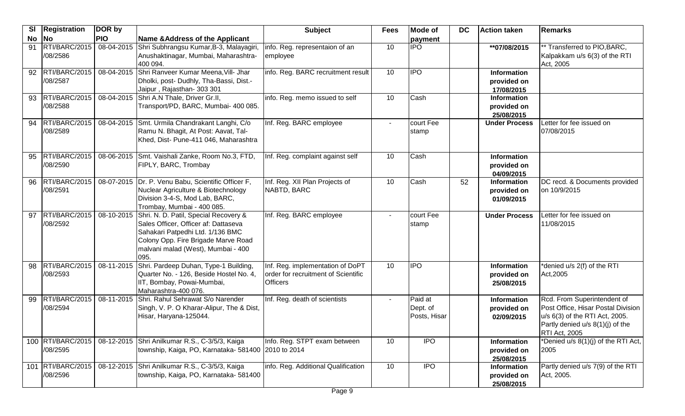| <b>SI</b> | Registration                   | DOR by     |                                                                                                                                                                                                                   | <b>Subject</b>                                                                             | <b>Fees</b>    | Mode of                             | <b>DC</b> | <b>Action taken</b>                             | Remarks                                                                                                                                                           |
|-----------|--------------------------------|------------|-------------------------------------------------------------------------------------------------------------------------------------------------------------------------------------------------------------------|--------------------------------------------------------------------------------------------|----------------|-------------------------------------|-----------|-------------------------------------------------|-------------------------------------------------------------------------------------------------------------------------------------------------------------------|
| <b>No</b> | $\overline{\mathsf{No}}$       | <b>PIO</b> | Name & Address of the Applicant                                                                                                                                                                                   |                                                                                            |                | payment                             |           |                                                 |                                                                                                                                                                   |
| 91        | RTI/BARC/2015<br>/08/2586      |            | 08-04-2015 Shri Subhrangsu Kumar, B-3, Malayagiri,<br>Anushaktinagar, Mumbai, Maharashtra-<br>400 094.                                                                                                            | info. Reg. representaion of an<br>employee                                                 | 10             | $\overline{IPO}$                    |           | **07/08/2015                                    | ** Transferred to PIO, BARC,<br>Kalpakkam u/s 6(3) of the RTI<br>Act, 2005                                                                                        |
| 92        | RTI/BARC/2015<br>/08/2587      |            | 08-04-2015 Shri Ranveer Kumar Meena, Vill- Jhar<br>Dholki, post- Dudhly, Tha-Bassi, Dist.-<br>Jaipur, Rajasthan- 303 301                                                                                          | info. Reg. BARC recruitment result                                                         | 10             | $\overline{IPO}$                    |           | <b>Information</b><br>provided on<br>17/08/2015 |                                                                                                                                                                   |
| 93        | RTI/BARC/2015<br>/08/2588      |            | 08-04-2015 Shri A.N Thale, Driver Gr.II,<br>Transport/PD, BARC, Mumbai- 400 085.                                                                                                                                  | info. Reg. memo issued to self                                                             | 10             | Cash                                |           | <b>Information</b><br>provided on<br>25/08/2015 |                                                                                                                                                                   |
|           | 94   RTI/BARC/2015<br>/08/2589 |            | 08-04-2015 Smt. Urmila Chandrakant Langhi, C/o<br>Ramu N. Bhagit, At Post: Aavat, Tal-<br>Khed, Dist- Pune-411 046, Maharashtra                                                                                   | Inf. Reg. BARC employee                                                                    | $\blacksquare$ | court Fee<br>stamp                  |           | <b>Under Process</b>                            | Letter for fee issued on<br>07/08/2015                                                                                                                            |
| 95        | RTI/BARC/2015<br>/08/2590      |            | 08-06-2015 Smt. Vaishali Zanke, Room No.3, FTD,<br>FIPLY, BARC, Trombay                                                                                                                                           | Inf. Reg. complaint against self                                                           | 10             | Cash                                |           | <b>Information</b><br>provided on<br>04/09/2015 |                                                                                                                                                                   |
| 96        | RTI/BARC/2015<br>/08/2591      |            | 08-07-2015 Dr. P. Venu Babu, Scientific Officer F,<br>Nuclear Agriculture & Biotechnology<br>Division 3-4-S, Mod Lab, BARC,<br>Trombay, Mumbai - 400 085.                                                         | Inf. Reg. XII Plan Projects of<br>NABTD, BARC                                              | 10             | Cash                                | 52        | Information<br>provided on<br>01/09/2015        | DC recd. & Documents provided<br>on 10/9/2015                                                                                                                     |
| 97        | RTI/BARC/2015<br>/08/2592      |            | 08-10-2015 Shri. N. D. Patil, Special Recovery &<br>Sales Officer, Officer af: Dattaseva<br>Sahakari Patpedhi Ltd. 1/136 BMC<br>Colony Opp. Fire Brigade Marve Road<br>malvani malad (West), Mumbai - 400<br>095. | Inf. Reg. BARC employee                                                                    |                | court Fee<br>stamp                  |           | <b>Under Process</b>                            | Letter for fee issued on<br>11/08/2015                                                                                                                            |
| 98        | RTI/BARC/2015<br>/08/2593      | 08-11-2015 | Shri. Pardeep Duhan, Type-1 Building,<br>Quarter No. - 126, Beside Hostel No. 4,<br>IIT, Bombay, Powai-Mumbai,<br>Maharashtra-400 076.                                                                            | Inf. Reg. implementation of DoPT<br>order for recruitment of Scientific<br><b>Officers</b> | 10             | <b>IPO</b>                          |           | <b>Information</b><br>provided on<br>25/08/2015 | denied u/s 2(f) of the RTI<br>Act, 2005                                                                                                                           |
| 99        | RTI/BARC/2015<br>/08/2594      |            | 08-11-2015 Shri. Rahul Sehrawat S/o Narender<br>Singh, V. P. O Kharar-Alipur, The & Dist,<br>Hisar, Haryana-125044.                                                                                               | Inf. Reg. death of scientists                                                              |                | Paid at<br>Dept. of<br>Posts, Hisar |           | <b>Information</b><br>provided on<br>02/09/2015 | Rcd. From Superintendent of<br>Post Office, Hisar Postal Division<br>u/s 6(3) of the RTI Act, 2005.<br>Partly denied $u/s$ 8(1)(j) of the<br><b>RTI Act, 2005</b> |
|           | 100 RTI/BARC/2015<br>/08/2595  |            | 08-12-2015 Shri Anilkumar R.S., C-3/5/3, Kaiga<br>township, Kaiga, PO, Karnataka- 581400 2010 to 2014                                                                                                             | Info. Reg. STPT exam between                                                               | 10             | <b>IPO</b>                          |           | Information<br>provided on<br>25/08/2015        | *Denied u/s 8(1)(j) of the RTI Act,<br>2005                                                                                                                       |
|           | 101 RTI/BARC/2015<br>/08/2596  |            | 08-12-2015 Shri Anilkumar R.S., C-3/5/3, Kaiga<br>township, Kaiga, PO, Karnataka- 581400                                                                                                                          | info. Reg. Additional Qualification<br>$P2$ ne Q                                           | 10             | <b>IPO</b>                          |           | <b>Information</b><br>provided on<br>25/08/2015 | Partly denied u/s 7(9) of the RTI<br>Act, 2005.                                                                                                                   |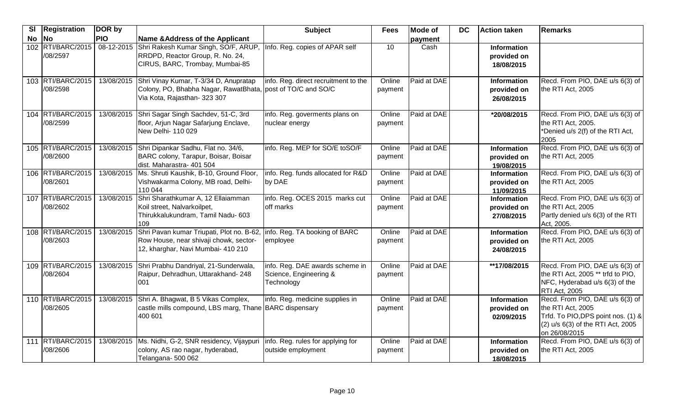| SI    | Registration                  | DOR by     |                                                                                                                                                         | <b>Subject</b>                                                          | <b>Fees</b>       | <b>Mode of</b> | <b>DC</b> | Action taken                                    | Remarks                                                                                                                                          |
|-------|-------------------------------|------------|---------------------------------------------------------------------------------------------------------------------------------------------------------|-------------------------------------------------------------------------|-------------------|----------------|-----------|-------------------------------------------------|--------------------------------------------------------------------------------------------------------------------------------------------------|
| No No |                               | <b>PIO</b> | <b>Name &amp; Address of the Applicant</b>                                                                                                              |                                                                         |                   | payment        |           |                                                 |                                                                                                                                                  |
|       | 102 RTI/BARC/2015<br>/08/2597 | 08-12-2015 | Shri Rakesh Kumar Singh, SO/F, ARUP, Info. Reg. copies of APAR self<br>RRDPD, Reactor Group, R. No. 24,<br>CIRUS, BARC, Trombay, Mumbai-85              |                                                                         | 10                | Cash           |           | <b>Information</b><br>provided on<br>18/08/2015 |                                                                                                                                                  |
|       | 103 RTI/BARC/2015<br>/08/2598 | 13/08/2015 | Shri Vinay Kumar, T-3/34 D, Anupratap<br>Colony, PO, Bhabha Nagar, RawatBhata, post of TO/C and SO/C<br>Via Kota, Rajasthan- 323 307                    | info. Reg. direct recruitment to the                                    | Online<br>payment | Paid at DAE    |           | Information<br>provided on<br>26/08/2015        | Recd. From PIO, DAE u/s 6(3) of<br>the RTI Act, 2005                                                                                             |
|       | 104 RTI/BARC/2015<br>/08/2599 | 13/08/2015 | Shri Sagar Singh Sachdev, 51-C, 3rd<br>floor, Arjun Nagar Safarjung Enclave,<br>New Delhi- 110 029                                                      | info. Reg. goverments plans on<br>nuclear energy                        | Online<br>payment | Paid at DAE    |           | *20/08/2015                                     | Recd. From PIO, DAE u/s 6(3) of<br>the RTI Act, 2005.<br>*Denied u/s 2(f) of the RTI Act,<br>2005                                                |
|       | 105 RTI/BARC/2015<br>/08/2600 | 13/08/2015 | Shri Dipankar Sadhu, Flat no. 34/6,<br>BARC colony, Tarapur, Boisar, Boisar<br>dist. Maharastra- 401 504                                                | info. Reg. MEP for SO/E toSO/F                                          | Online<br>payment | Paid at DAE    |           | <b>Information</b><br>provided on<br>19/08/2015 | Recd. From PIO, DAE u/s 6(3) of<br>the RTI Act, 2005                                                                                             |
|       | 106 RTI/BARC/2015<br>/08/2601 | 13/08/2015 | Ms. Shruti Kaushik, B-10, Ground Floor,<br>Vishwakarma Colony, MB road, Delhi-<br>110 044                                                               | info. Reg. funds allocated for R&D<br>by DAE                            | Online<br>payment | Paid at DAE    |           | <b>Information</b><br>provided on<br>11/09/2015 | Recd. From PIO, DAE u/s 6(3) of<br>the RTI Act, 2005                                                                                             |
|       | 107 RTI/BARC/2015<br>/08/2602 | 13/08/2015 | Shri Sharathkumar A, 12 Ellaiamman<br>Koil street, Nalvarkoilpet,<br>Thirukkalukundram, Tamil Nadu- 603<br>109                                          | info. Reg. OCES 2015 marks cut<br>off marks                             | Online<br>payment | Paid at DAE    |           | <b>Information</b><br>provided on<br>27/08/2015 | Recd. From PIO, DAE u/s 6(3) of<br>the RTI Act, 2005<br>Partly denied u/s 6(3) of the RTI<br>Act, 2005.                                          |
|       | 108 RTI/BARC/2015<br>/08/2603 | 13/08/2015 | Shri Pavan kumar Triupati, Plot no. B-62, Info. Reg. TA booking of BARC<br>Row House, near shivaji chowk, sector-<br>12, kharghar, Navi Mumbai- 410 210 | employee                                                                | Online<br>payment | Paid at DAE    |           | <b>Information</b><br>provided on<br>24/08/2015 | Recd. From PIO, DAE u/s 6(3) of<br>the RTI Act, 2005                                                                                             |
|       | 109 RTI/BARC/2015<br>/08/2604 | 13/08/2015 | Shri Prabhu Dandriyal, 21-Sunderwala,<br>Raipur, Dehradhun, Uttarakhand- 248<br>001                                                                     | info. Reg. DAE awards scheme in<br>Science, Engineering &<br>Technology | Online<br>payment | Paid at DAE    |           | **17/08/2015                                    | Recd. From PIO, DAE u/s 6(3) of<br>the RTI Act, 2005 ** trfd to PIO,<br>NFC, Hyderabad u/s 6(3) of the<br><b>RTI Act, 2005</b>                   |
|       | 110 RTI/BARC/2015<br>/08/2605 | 13/08/2015 | Shri A. Bhagwat, B 5 Vikas Complex,<br>castle mills compound, LBS marg, Thane BARC dispensary<br>400 601                                                | info. Reg. medicine supplies in                                         | Online<br>payment | Paid at DAE    |           | <b>Information</b><br>provided on<br>02/09/2015 | Recd. From PIO, DAE u/s 6(3) of<br>the RTI Act, 2005<br>Trfd. To PIO, DPS point nos. (1) &<br>(2) u/s 6(3) of the RTI Act, 2005<br>on 26/08/2015 |
|       | 111 RTI/BARC/2015<br>/08/2606 |            | 13/08/2015 Ms. Nidhi, G-2, SNR residency, Vijaypuri<br>colony, AS rao nagar, hyderabad,<br>Telangana- 500 062                                           | info. Reg. rules for applying for<br>outside employment                 | Online<br>payment | Paid at DAE    |           | <b>Information</b><br>provided on<br>18/08/2015 | Recd. From PIO, DAE u/s 6(3) of<br>the RTI Act, 2005                                                                                             |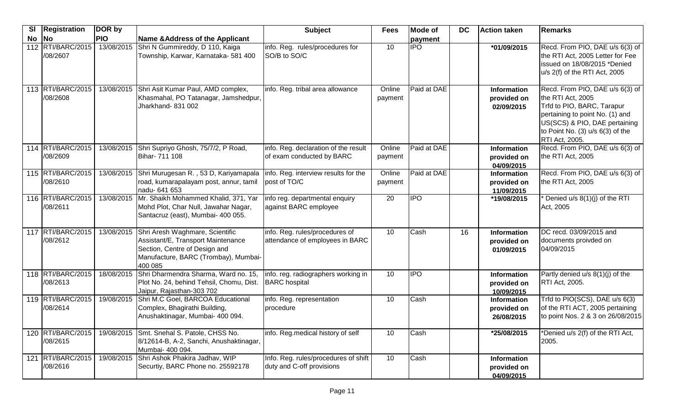| <b>SI</b> | <b>Registration</b>           | DOR by     |                                                                                                                                                           | <b>Subject</b>                                                    | <b>Fees</b>       | <b>Mode of</b> | DC | Action taken                                    | Remarks                                                                                                                                                                                                                 |
|-----------|-------------------------------|------------|-----------------------------------------------------------------------------------------------------------------------------------------------------------|-------------------------------------------------------------------|-------------------|----------------|----|-------------------------------------------------|-------------------------------------------------------------------------------------------------------------------------------------------------------------------------------------------------------------------------|
|           | $No$ $No$                     | <b>PIO</b> | Name & Address of the Applicant                                                                                                                           |                                                                   |                   | payment        |    |                                                 |                                                                                                                                                                                                                         |
|           | 112 RTI/BARC/2015<br>/08/2607 | 13/08/2015 | Shri N Gummireddy, D 110, Kaiga<br>Township, Karwar, Karnataka- 581 400                                                                                   | info. Reg. rules/procedures for<br>SO/B to SO/C                   | 10                | <b>IPO</b>     |    | *01/09/2015                                     | Recd. From PIO, DAE u/s 6(3) of<br>the RTI Act, 2005 Letter for Fee<br>issued on 18/08/2015 *Denied<br>u/s 2(f) of the RTI Act, 2005                                                                                    |
|           | 113 RTI/BARC/2015<br>/08/2608 | 13/08/2015 | Shri Asit Kumar Paul, AMD complex,<br>Khasmahal, PO Tatanagar, Jamshedpur,<br>Jharkhand- 831 002                                                          | info. Reg. tribal area allowance                                  | Online<br>payment | Paid at DAE    |    | <b>Information</b><br>provided on<br>02/09/2015 | Recd. From PIO, DAE u/s 6(3) of<br>the RTI Act, 2005<br>Trfd to PIO, BARC, Tarapur<br>pertaining to point No. (1) and<br>US(SCS) & PIO, DAE pertaining<br>to Point No. $(3)$ u/s $6(3)$ of the<br><b>RTI Act, 2005.</b> |
|           | 114 RTI/BARC/2015<br>/08/2609 | 13/08/2015 | Shri Supriyo Ghosh, 75/7/2, P Road,<br>Bihar- 711 108                                                                                                     | info. Reg. declaration of the result<br>of exam conducted by BARC | Online<br>payment | Paid at DAE    |    | Information<br>provided on<br>04/09/2015        | Recd. From PIO, DAE u/s 6(3) of<br>the RTI Act, 2005                                                                                                                                                                    |
|           | 115 RTI/BARC/2015<br>/08/2610 | 13/08/2015 | Shri Murugesan R., 53 D, Kariyamapala<br>road, kumarapalayam post, annur, tamil<br>nadu- 641 653                                                          | info. Reg. interview results for the<br>post of TO/C              | Online<br>payment | Paid at DAE    |    | <b>Information</b><br>provided on<br>11/09/2015 | Recd. From PIO, DAE u/s 6(3) of<br>the RTI Act, 2005                                                                                                                                                                    |
|           | 116 RTI/BARC/2015<br>/08/2611 |            | 13/08/2015 Mr. Shaikh Mohammed Khalid, 371, Yar<br>Mohd Plot, Char Null, Jawahar Nagar,<br>Santacruz (east), Mumbai- 400 055.                             | info reg. departmental enquiry<br>against BARC employee           | $\overline{20}$   | <b>IPO</b>     |    | *19/08/2015                                     | Denied u/s 8(1)(j) of the RTI<br>Act, 2005                                                                                                                                                                              |
|           | 117 RTI/BARC/2015<br>/08/2612 | 13/08/2015 | Shri Aresh Waghmare, Scientific<br>Assistant/E, Transport Maintenance<br>Section, Centre of Design and<br>Manufacture, BARC (Trombay), Mumbai-<br>400 085 | info. Reg. rules/procedures of<br>attendance of employees in BARC | 10                | Cash           | 16 | <b>Information</b><br>provided on<br>01/09/2015 | DC recd. 03/09/2015 and<br>documents proivded on<br>04/09/2015                                                                                                                                                          |
|           | 118 RTI/BARC/2015<br>/08/2613 | 18/08/2015 | Shri Dharmendra Sharma, Ward no. 15,<br>Plot No. 24, behind Tehsil, Chomu, Dist.<br>Jaipur, Rajasthan-303 702                                             | info. reg. radiographers working in<br><b>BARC</b> hospital       | 10                | <b>IPO</b>     |    | Information<br>provided on<br>10/09/2015        | Partly denied u/s 8(1)(j) of the<br><b>RTI Act, 2005.</b>                                                                                                                                                               |
|           | 119 RTI/BARC/2015<br>/08/2614 | 19/08/2015 | Shri M.C Goel, BARCOA Educational<br>Complex, Bhagirathi Building,<br>Anushaktinagar, Mumbai- 400 094.                                                    | info. Reg. representation<br>procedure                            | 10                | Cash           |    | <b>Information</b><br>provided on<br>26/08/2015 | Trfd to PIO(SCS), DAE u/s 6(3)<br>of the RTI ACT, 2005 pertaining<br>to point Nos. 2 & 3 on 26/08/2015                                                                                                                  |
|           | 120 RTI/BARC/2015<br>/08/2615 |            | 19/08/2015 Smt. Snehal S. Patole, CHSS No.<br>8/12614-B, A-2, Sanchi, Anushaktinagar,<br>Mumbai- 400 094.                                                 | info. Reg.medical history of self                                 | 10                | Cash           |    | *25/08/2015                                     | *Denied u/s 2(f) of the RTI Act,<br>2005.                                                                                                                                                                               |
|           | 121 RTI/BARC/2015<br>/08/2616 | 19/08/2015 | Shri Ashok Phakira Jadhav, WIP<br>Securtiy, BARC Phone no. 25592178                                                                                       | Info. Reg. rules/procedures of shift<br>duty and C-off provisions | 10                | Cash           |    | <b>Information</b><br>provided on<br>04/09/2015 |                                                                                                                                                                                                                         |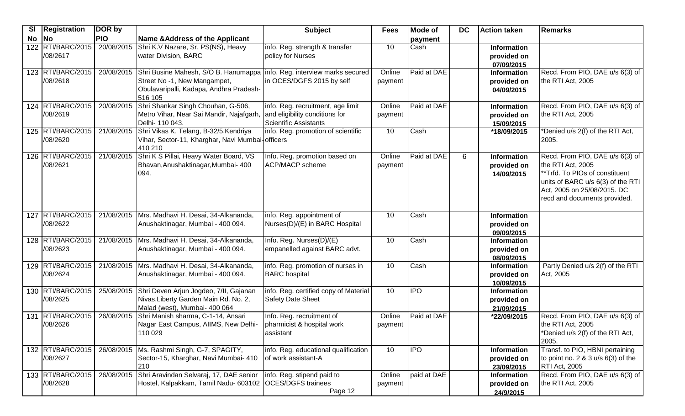| <b>SI</b> | <b>Registration</b>             | DOR by     |                                                                                                                                                               | <b>Subject</b>                                                                               | <b>Fees</b>       | <b>Mode of</b> | <b>DC</b> | <b>Action taken</b>                             | Remarks                                                                                                                                                                                    |
|-----------|---------------------------------|------------|---------------------------------------------------------------------------------------------------------------------------------------------------------------|----------------------------------------------------------------------------------------------|-------------------|----------------|-----------|-------------------------------------------------|--------------------------------------------------------------------------------------------------------------------------------------------------------------------------------------------|
| No        | <b>No</b>                       | <b>PIO</b> | <b>Name &amp; Address of the Applicant</b>                                                                                                                    |                                                                                              |                   | payment        |           |                                                 |                                                                                                                                                                                            |
|           | 122 RTI/BARC/2015<br>/08/2617   | 20/08/2015 | Shri K.V Nazare, Sr. PS(NS), Heavy<br>water Division, BARC                                                                                                    | info. Reg. strength & transfer<br>policy for Nurses                                          | 10                | Cash           |           | <b>Information</b><br>provided on<br>07/09/2015 |                                                                                                                                                                                            |
|           | 123 RTI/BARC/2015<br>/08/2618   | 20/08/2015 | Shri Busine Mahesh, S/O B. Hanumappa info. Reg. interview marks secured<br>Street No -1, New Mangampet,<br>Obulavaripalli, Kadapa, Andhra Pradesh-<br>516 105 | in OCES/DGFS 2015 by self                                                                    | Online<br>payment | Paid at DAE    |           | <b>Information</b><br>provided on<br>04/09/2015 | Recd. From PIO, DAE u/s 6(3) of<br>the RTI Act, 2005                                                                                                                                       |
|           | 124 RTI/BARC/2015<br>/08/2619   | 20/08/2015 | Shri Shankar Singh Chouhan, G-506,<br>Metro Vihar, Near Sai Mandir, Najafgarh,<br>Delhi- 110 043.                                                             | info. Reg. recruitment, age limit<br>and eligibility conditions for<br>Scientific Assistants | Online<br>payment | Paid at DAE    |           | Information<br>provided on<br>15/09/2015        | Recd. From PIO, DAE u/s 6(3) of<br>the RTI Act, 2005                                                                                                                                       |
|           | 125 RTI/BARC/2015<br>/08/2620   | 21/08/2015 | Shri Vikas K. Telang, B-32/5, Kendriya<br>Vihar, Sector-11, Kharghar, Navi Mumbai-officers<br>410 210                                                         | info. Reg. promotion of scientific                                                           | 10                | Cash           |           | *18/09/2015                                     | *Denied u/s 2(f) of the RTI Act,<br>2005.                                                                                                                                                  |
|           | 126 RTI/BARC/2015<br>/08/2621   | 21/08/2015 | Shri K S Pillai, Heavy Water Board, VS<br>Bhavan, Anushaktinagar, Mumbai- 400<br>094.                                                                         | Info. Reg. promotion based on<br><b>ACP/MACP</b> scheme                                      | Online<br>payment | Paid at DAE    | 6         | Information<br>provided on<br>14/09/2015        | Recd. From PIO, DAE u/s 6(3) of<br>the RTI Act, 2005<br>**Trfd. To PIOs of constituent<br>units of BARC u/s 6(3) of the RTI<br>Act, 2005 on 25/08/2015. DC<br>recd and documents provided. |
|           | 127 RTI/BARC/2015<br>/08/2622   | 21/08/2015 | Mrs. Madhavi H. Desai, 34-Alkananda,<br>Anushaktinagar, Mumbai - 400 094.                                                                                     | info. Reg. appointment of<br>Nurses(D)/(E) in BARC Hospital                                  | 10                | Cash           |           | <b>Information</b><br>provided on<br>09/09/2015 |                                                                                                                                                                                            |
|           | 128 RTI/BARC/2015<br>/08/2623   | 21/08/2015 | Mrs. Madhavi H. Desai, 34-Alkananda,<br>Anushaktinagar, Mumbai - 400 094.                                                                                     | Info. Reg. Nurses(D)/(E)<br>empanelled against BARC advt.                                    | 10                | Cash           |           | Information<br>provided on<br>08/09/2015        |                                                                                                                                                                                            |
|           | 129 RTI/BARC/2015<br>/08/2624   | 21/08/2015 | Mrs. Madhavi H. Desai, 34-Alkananda,<br>Anushaktinagar, Mumbai - 400 094.                                                                                     | info. Reg. promotion of nurses in<br><b>BARC</b> hospital                                    | 10                | Cash           |           | <b>Information</b><br>provided on<br>10/09/2015 | Partly Denied u/s 2(f) of the RTI<br>Act, 2005                                                                                                                                             |
|           | 130 RTI/BARC/2015<br>/08/2625   | 25/08/2015 | Shri Deven Arjun Jogdeo, 7/II, Gajanan<br>Nivas, Liberty Garden Main Rd. No. 2,<br>Malad (west), Mumbai- 400 064                                              | info. Reg. certified copy of Material<br>Safety Date Sheet                                   | 10                | <b>IPO</b>     |           | <b>Information</b><br>provided on<br>21/09/2015 |                                                                                                                                                                                            |
|           | 131   RTI/BARC/2015<br>/08/2626 | 26/08/2015 | Shri Manish sharma, C-1-14, Ansari<br>Nagar East Campus, AllMS, New Delhi-<br>110 029                                                                         | Info. Reg. recruitment of<br>pharmicist & hospital work<br>assistant                         | Online<br>payment | Paid at DAE    |           | *22/09/2015                                     | Recd. From PIO, DAE u/s 6(3) of<br>the RTI Act, 2005<br>*Denied u/s 2(f) of the RTI Act,<br>2005.                                                                                          |
|           | 132 RTI/BARC/2015<br>/08/2627   |            | 26/08/2015   Ms. Rashmi Singh, G-7, SPAGITY,<br>Sector-15, Kharghar, Navi Mumbai- 410<br>210                                                                  | info. Reg. educational qualification<br>of work assistant-A                                  | 10                | <b>IPO</b>     |           | Information<br>provided on<br>23/09/2015        | Transf. to PIO, HBNI pertaining<br>to point no. $2 & 3$ u/s $6(3)$ of the<br>RTI Act, 2005                                                                                                 |
|           | 133 RTI/BARC/2015<br>/08/2628   | 26/08/2015 | Shri Aravindan Selvaraj, 17, DAE senior<br>Hostel, Kalpakkam, Tamil Nadu- 603102 OCES/DGFS trainees                                                           | info. Reg. stipend paid to<br>Page 12                                                        | Online<br>payment | paid at DAE    |           | Information<br>provided on<br>24/9/2015         | Recd. From PIO, DAE u/s 6(3) of<br>the RTI Act, 2005                                                                                                                                       |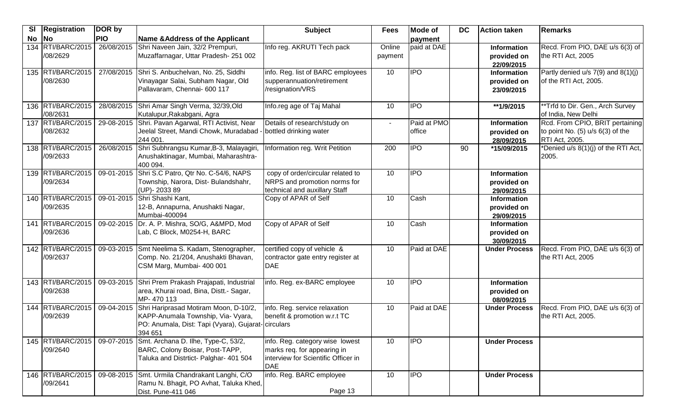| SI        | <b>Registration</b>           | DOR by     |                                                                                                                                              | <b>Subject</b>                                                                                               | <b>Fees</b>       | <b>Mode of</b>        | <b>DC</b> | <b>Action taken</b>                             | <b>Remarks</b>                                                                                   |
|-----------|-------------------------------|------------|----------------------------------------------------------------------------------------------------------------------------------------------|--------------------------------------------------------------------------------------------------------------|-------------------|-----------------------|-----------|-------------------------------------------------|--------------------------------------------------------------------------------------------------|
| <b>No</b> | <b>No</b>                     | <b>PIO</b> | Name & Address of the Applicant                                                                                                              |                                                                                                              |                   | payment               |           |                                                 |                                                                                                  |
|           | 134 RTI/BARC/2015<br>/08/2629 | 26/08/2015 | Shri Naveen Jain, 32/2 Prempuri,<br>Muzaffarnagar, Uttar Pradesh-251 002                                                                     | Info reg. AKRUTI Tech pack                                                                                   | Online<br>payment | paid at DAE           |           | <b>Information</b><br>provided on<br>22/09/2015 | Recd. From PIO, DAE u/s 6(3) of<br>the RTI Act, 2005                                             |
|           | 135 RTI/BARC/2015<br>/08/2630 |            | 27/08/2015 Shri S. Anbuchelvan, No. 25, Siddhi<br>Vinayagar Salai, Subham Nagar, Old<br>Pallavaram, Chennai- 600 117                         | info. Reg. list of BARC employees<br>supperannuation/retirement<br>/resignation/VRS                          | 10                | <b>IPO</b>            |           | Information<br>provided on<br>23/09/2015        | Partly denied u/s 7(9) and 8(1)(j)<br>of the RTI Act, 2005.                                      |
|           | 136 RTI/BARC/2015<br>/08/2631 |            | 28/08/2015 Shri Amar Singh Verma, 32/39, Old<br>Kutalupur, Rakabgani, Agra                                                                   | Info.reg age of Taj Mahal                                                                                    | 10                | <b>IPO</b>            |           | **1/9/2015                                      | **Trfd to Dir. Gen., Arch Survey<br>of India, New Delhi                                          |
|           | 137 RTI/BARC/2015<br>/08/2632 | 29-08-2015 | Shri. Pavan Agarwal, RTI Activist, Near<br>Jeelal Street, Mandi Chowk, Muradabad ·<br>244 001.                                               | Details of research/study on<br>- bottled drinking water                                                     | $\blacksquare$    | Paid at PMO<br>office |           | Information<br>provided on<br>28/09/2015        | Rcd. From CPIO, BRIT pertaining<br>to point No. $(5)$ u/s $6(3)$ of the<br><b>RTI Act, 2005.</b> |
|           | 138 RTI/BARC/2015<br>/09/2633 | 26/08/2015 | Shri Subhrangsu Kumar, B-3, Malayagiri,<br>Anushaktinagar, Mumbai, Maharashtra-<br>400 094.                                                  | Information reg. Writ Petition                                                                               | 200               | <b>IPO</b>            | 90        | *15/09/2015                                     | *Denied u/s 8(1)(j) of the RTI Act,<br>2005.                                                     |
|           | 139 RTI/BARC/2015<br>/09/2634 | 09-01-2015 | Shri S.C Patro, Qtr No. C-54/6, NAPS<br>Township, Narora, Dist- Bulandshahr,<br>(UP)-203389                                                  | copy of order/circular related to<br>NRPS and promotion norms for<br>technical and auxillary Staff           | 10                | <b>IPO</b>            |           | <b>Information</b><br>provided on<br>29/09/2015 |                                                                                                  |
|           | 140 RTI/BARC/2015<br>/09/2635 |            | 09-01-2015 Shri Shashi Kant,<br>12-B, Annapurna, Anushakti Nagar,<br>Mumbai-400094                                                           | Copy of APAR of Self                                                                                         | 10                | Cash                  |           | <b>Information</b><br>provided on<br>29/09/2015 |                                                                                                  |
|           | 141 RTI/BARC/2015<br>/09/2636 |            | 09-02-2015 Dr. A. P. Mishra, SO/G, A&MPD, Mod<br>Lab, C Block, M0254-H, BARC                                                                 | Copy of APAR of Self                                                                                         | 10                | Cash                  |           | <b>Information</b><br>provided on<br>30/09/2015 |                                                                                                  |
|           | 142 RTI/BARC/2015<br>/09/2637 | 09-03-2015 | Smt Neelima S. Kadam, Stenographer,<br>Comp. No. 21/204, Anushakti Bhavan,<br>CSM Marg, Mumbai- 400 001                                      | certified copy of vehicle &<br>contractor gate entry register at<br><b>IDAE</b>                              | 10                | Paid at DAE           |           | <b>Under Process</b>                            | Recd. From PIO, DAE u/s 6(3) of<br>the RTI Act, 2005                                             |
|           | 143 RTI/BARC/2015<br>/09/2638 |            | 09-03-2015 Shri Prem Prakash Prajapati, Industrial<br>area, Khurai road, Bina, Distt.- Sagar,<br>MP-470 113                                  | info. Reg. ex-BARC employee                                                                                  | 10                | <b>IPO</b>            |           | <b>Information</b><br>provided on<br>08/09/2015 |                                                                                                  |
|           | 144 RTI/BARC/2015<br>/09/2639 | 09-04-2015 | Shri Hariprasad Motiram Moon, D-10/2,<br>KAPP-Anumala Township, Via- Vyara,<br>PO: Anumala, Dist: Tapi (Vyara), Gujarat-circulars<br>394 651 | info. Reg. service relaxation<br>benefit & promotion w.r.t TC                                                | 10                | Paid at DAE           |           | <b>Under Process</b>                            | Recd. From PIO, DAE u/s 6(3) of<br>the RTI Act, 2005.                                            |
|           | 145 RTI/BARC/2015<br>/09/2640 |            | 09-07-2015 Smt. Archana D. Ilhe, Type-C, 53/2,<br>BARC, Colony Boisar, Post-TAPP,<br>Taluka and Distrtict- Palghar- 401 504                  | info. Reg. category wise lowest<br>marks req. for appearing in<br>interview for Scientific Officer in<br>DAE | 10                | IPO                   |           | <b>Under Process</b>                            |                                                                                                  |
|           | 146 RTI/BARC/2015<br>/09/2641 |            | 09-08-2015 Smt. Urmila Chandrakant Langhi, C/O<br>Ramu N. Bhagit, PO Avhat, Taluka Khed,<br>Dist. Pune-411 046                               | info. Reg. BARC employee<br>Page 13                                                                          | 10                | <b>IPO</b>            |           | <b>Under Process</b>                            |                                                                                                  |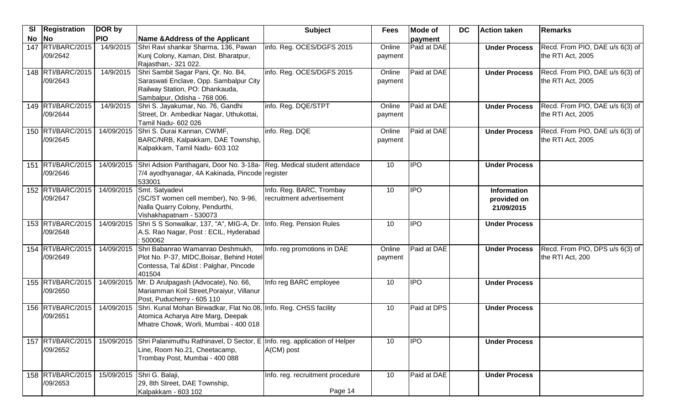| SI | <b>Registration</b>           | DOR by     |                                                                                                                                                  | <b>Subject</b>                                        | <b>Fees</b>       | Mode of     | <b>DC</b> | <b>Action taken</b>                             | <b>Remarks</b>                                       |
|----|-------------------------------|------------|--------------------------------------------------------------------------------------------------------------------------------------------------|-------------------------------------------------------|-------------------|-------------|-----------|-------------------------------------------------|------------------------------------------------------|
| No | <b>No</b>                     | <b>PIO</b> | Name & Address of the Applicant                                                                                                                  |                                                       |                   | payment     |           |                                                 |                                                      |
|    | 147 RTI/BARC/2015<br>/09/2642 | 14/9/2015  | Shri Ravi shankar Sharma, 136, Pawan<br>Kunj Colony, Kaman, Dist. Bharatpur,<br>Rajasthan, - 321 022.                                            | info. Reg. OCES/DGFS 2015                             | Online<br>payment | Paid at DAE |           | <b>Under Process</b>                            | Recd. From PIO, DAE u/s 6(3) of<br>the RTI Act, 2005 |
|    | 148 RTI/BARC/2015<br>/09/2643 | 14/9/2015  | Shri Sambit Sagar Pani, Qr. No. B4,<br>Saraswati Enclave, Opp. Sambalpur City<br>Railway Station, PO: Dhankauda,<br>Sambalpur, Odisha - 768 006. | info. Reg. OCES/DGFS 2015                             | Online<br>payment | Paid at DAE |           | <b>Under Process</b>                            | Recd. From PIO, DAE u/s 6(3) of<br>the RTI Act, 2005 |
|    | 149 RTI/BARC/2015<br>/09/2644 | 14/9/2015  | Shri S. Jayakumar, No. 76, Gandhi<br>Street, Dr. Ambedkar Nagar, Uthukottai,<br>Tamil Nadu- 602 026                                              | info. Reg. DQE/STPT                                   | Online<br>payment | Paid at DAE |           | <b>Under Process</b>                            | Recd. From PIO, DAE u/s 6(3) of<br>the RTI Act, 2005 |
|    | 150 RTI/BARC/2015<br>/09/2645 | 14/09/2015 | Shri S. Durai Kannan, CWMF,<br>BARC/NRB, Kalpakkam, DAE Township,<br>Kalpakkam, Tamil Nadu- 603 102                                              | info. Reg. DQE                                        | Online<br>payment | Paid at DAE |           | <b>Under Process</b>                            | Recd. From PIO, DAE u/s 6(3) of<br>the RTI Act, 2005 |
|    | 151 RTI/BARC/2015<br>/09/2646 |            | 14/09/2015 Shri Adsion Panthagani, Door No. 3-18a- Reg. Medical student attendace<br>7/4 ayodhyanagar, 4A Kakinada, Pincode register<br>533001   |                                                       | 10                | <b>IPO</b>  |           | <b>Under Process</b>                            |                                                      |
|    | 152 RTI/BARC/2015<br>/09/2647 | 14/09/2015 | Smt. Satyadevi<br>(SC/ST women cell member), No. 9-96,<br>Nalla Quarry Colony, Pendurthi,<br>Vishakhapatnam - 530073                             | Info. Reg. BARC, Trombay<br>recruitment advertisement | 10                | <b>IPO</b>  |           | <b>Information</b><br>provided on<br>21/09/2015 |                                                      |
|    | 153 RTI/BARC/2015<br>/09/2648 | 14/09/2015 | Shri S S Sonwalkar, 137, "A", MIG-A, Dr. Info. Reg. Pension Rules<br>A.S. Rao Nagar, Post: ECIL, Hyderabad<br>500062                             |                                                       | 10                | <b>IPO</b>  |           | <b>Under Process</b>                            |                                                      |
|    | 154 RTI/BARC/2015<br>/09/2649 | 14/09/2015 | Shri Babanrao Wamanrao Deshmukh,<br>Plot No. P-37, MIDC, Boisar, Behind Hotel<br>Contessa, Tal & Dist: Palghar, Pincode<br>401504                | Info. reg promotions in DAE                           | Online<br>payment | Paid at DAE |           | <b>Under Process</b>                            | Recd. From PIO, DPS u/s 6(3) of<br>the RTI Act, 200  |
|    | 155 RTI/BARC/2015<br>/09/2650 | 14/09/2015 | Mr. D Arulpagash (Advocate), No. 66,<br>Mariamman Koil Street, Poraiyur, Villanur<br>Post, Puducherry - 605 110                                  | Info reg BARC employee                                | 10                | <b>IPO</b>  |           | <b>Under Process</b>                            |                                                      |
|    | 156 RTI/BARC/2015<br>/09/2651 | 14/09/2015 | Shri. Kunal Mohan Birwadkar, Flat No.08, Info. Reg. CHSS facility<br>Atomica Acharya Atre Marg, Deepak<br>Mhatre Chowk, Worli, Mumbai - 400 018  |                                                       | 10                | Paid at DPS |           | <b>Under Process</b>                            |                                                      |
|    | 157 RTI/BARC/2015<br>/09/2652 | 15/09/2015 | Shri Palanimuthu Rathinavel, D Sector, E Info. reg. application of Helper<br>Line, Room No.21, Cheetacamp,<br>Trombay Post, Mumbai - 400 088     | A(CM) post                                            | 10                | <b>IPO</b>  |           | <b>Under Process</b>                            |                                                      |
|    | 158 RTI/BARC/2015<br>/09/2653 |            | 15/09/2015 Shri G. Balaji,<br>29, 8th Street, DAE Township,<br>Kalpakkam - 603 102                                                               | Info. reg. recruitment procedure<br>Page 14           | 10                | Paid at DAE |           | <b>Under Process</b>                            |                                                      |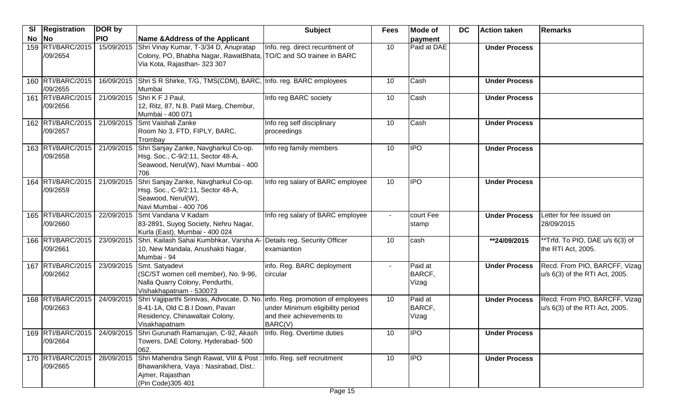| SI | <b>Registration</b>           | DOR by     |                                                                                                                                                                     | <b>Subject</b>                                                           | <b>Fees</b>    | <b>Mode of</b>             | <b>DC</b> | <b>Action taken</b>  | Remarks                                                         |
|----|-------------------------------|------------|---------------------------------------------------------------------------------------------------------------------------------------------------------------------|--------------------------------------------------------------------------|----------------|----------------------------|-----------|----------------------|-----------------------------------------------------------------|
| No | <b>No</b>                     | <b>PIO</b> | Name & Address of the Applicant                                                                                                                                     |                                                                          |                | payment                    |           |                      |                                                                 |
|    | 159 RTI/BARC/2015<br>/09/2654 | 15/09/2015 | Shri Vinay Kumar, T-3/34 D, Anupratap<br>Colony, PO, Bhabha Nagar, RawatBhata, TO/C and SO trainee in BARC<br>Via Kota, Rajasthan- 323 307                          | Info. reg. direct recuritment of                                         | 10             | Paid at DAE                |           | <b>Under Process</b> |                                                                 |
|    | 160 RTI/BARC/2015<br>/09/2655 |            | 16/09/2015 Shri S R Shirke, T/G, TMS(CDM), BARC, Info. reg. BARC employees<br>Mumbai                                                                                |                                                                          | 10             | Cash                       |           | <b>Under Process</b> |                                                                 |
|    | 161 RTI/BARC/2015<br>/09/2656 | 21/09/2015 | Shri K F J Paul,<br>12, Ritz, 87, N.B. Patil Marg, Chembur,<br>Mumbai - 400 071                                                                                     | Info reg BARC society                                                    | 10             | Cash                       |           | <b>Under Process</b> |                                                                 |
|    | 162 RTI/BARC/2015<br>/09/2657 | 21/09/2015 | Smt Vaishali Zanke<br>Room No 3, FTD, FIPLY, BARC,<br>Trombay                                                                                                       | Info reg self disciplinary<br>proceedings                                | 10             | Cash                       |           | <b>Under Process</b> |                                                                 |
|    | 163 RTI/BARC/2015<br>/09/2658 | 21/09/2015 | Shri Sanjay Zanke, Navgharkul Co-op.<br>Hsg. Soc., C-9/2:11, Sector 48-A,<br>Seawood, Nerul(W), Navi Mumbai - 400<br>706                                            | Info reg family members                                                  | 10             | <b>IPO</b>                 |           | <b>Under Process</b> |                                                                 |
|    | 164 RTI/BARC/2015<br>/09/2659 | 21/09/2015 | Shri Sanjay Zanke, Navgharkul Co-op.<br>Hsg. Soc., C-9/2:11, Sector 48-A,<br>Seawood, Nerul(W),<br>Navi Mumbai - 400 706                                            | Info reg salary of BARC employee                                         | 10             | <b>IPO</b>                 |           | <b>Under Process</b> |                                                                 |
|    | 165 RTI/BARC/2015<br>/09/2660 | 22/09/2015 | Smt Vandana V Kadam<br>83-2891, Suyog Society, Nehru Nagar,<br>Kurla (East), Mumbai - 400 024                                                                       | Info reg salary of BARC employee                                         | $\sim$         | court Fee<br>stamp         |           | <b>Under Process</b> | Letter for fee issued on<br>28/09/2015                          |
|    | 166 RTI/BARC/2015<br>/09/2661 | 23/09/2015 | Shri. Kailash Sahai Kumbhkar, Varsha A- Details reg. Security Officer<br>10, New Mandala, Anushakti Nagar,<br>Mumbai - 94                                           | examiantion                                                              | 10             | cash                       |           | **24/09/2015         | **Trfd. To PIO, DAE u/s 6(3) of<br>the RTI Act, 2005.           |
|    | 167 RTI/BARC/2015<br>/09/2662 | 23/09/2015 | Smt. Satyadevi<br>(SC/ST women cell member), No. 9-96,<br>Nalla Quarry Colony, Pendurthi,<br>Vishakhapatnam - 530073                                                | info. Reg. BARC deployment<br>circular                                   | $\blacksquare$ | Paid at<br>BARCF,<br>Vizag |           | <b>Under Process</b> | Recd. From PIO, BARCFF, Vizag<br>u/s 6(3) of the RTI Act, 2005. |
|    | 168 RTI/BARC/2015<br>/09/2663 | 24/09/2015 | Shri Vajjiparthi Srinivas, Advocate, D. No. info. Reg. promotion of employees<br>8-41-1A, Old C.B.I Down, Pavan<br>Residency, Chinawaltair Colony,<br>Visakhapatnam | under Minimum eligibility period<br>and their achievements to<br>BARC(V) | 10             | Paid at<br>BARCF,<br>Vizag |           | <b>Under Process</b> | Recd. From PIO, BARCFF, Vizag<br>u/s 6(3) of the RTI Act, 2005. |
|    | 169 RTI/BARC/2015<br>/09/2664 |            | 24/09/2015 Shri Gurunath Ramanujan, C-92, Akash Info. Reg. Overtime duties<br>Towers, DAE Colony, Hyderabad- 500<br>062.                                            |                                                                          | 10             | <b>IPO</b>                 |           | <b>Under Process</b> |                                                                 |
|    | 170 RTI/BARC/2015<br>/09/2665 | 28/09/2015 | Shri Mahendra Singh Rawat, VIII & Post : Info. Reg. self recruitment<br>Bhawanikhera, Vaya: Nasirabad, Dist.:<br>Ajmer, Rajasthan<br>(Pin Code) 305 401             |                                                                          | 10             | <b>IPO</b>                 |           | <b>Under Process</b> |                                                                 |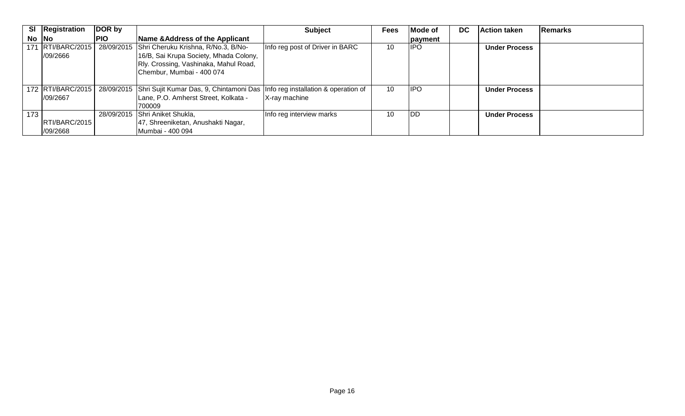|     | SI Registration      | DOR by     |                                                                                         | <b>Subject</b>                  | <b>Fees</b> | Mode of    | <b>DC</b> | <b>Action taken</b>  | Remarks |
|-----|----------------------|------------|-----------------------------------------------------------------------------------------|---------------------------------|-------------|------------|-----------|----------------------|---------|
|     | $No$ $No$            | <b>PIO</b> | Name & Address of the Applicant                                                         |                                 |             | payment    |           |                      |         |
|     |                      |            | 171 RTI/BARC/2015   28/09/2015 Shri Cheruku Krishna, R/No.3, B/No-                      | Info reg post of Driver in BARC | 10          | <b>IPO</b> |           | <b>Under Process</b> |         |
|     | /09/2666             |            | 16/B, Sai Krupa Society, Mhada Colony,                                                  |                                 |             |            |           |                      |         |
|     |                      |            | Rly. Crossing, Vashinaka, Mahul Road,                                                   |                                 |             |            |           |                      |         |
|     |                      |            | Chembur, Mumbai - 400 074                                                               |                                 |             |            |           |                      |         |
|     |                      |            |                                                                                         |                                 |             |            |           |                      |         |
|     | 172 RTI/BARC/2015    |            | 28/09/2015 Shri Sujit Kumar Das, 9, Chintamoni Das Info reg installation & operation of |                                 | 10          | <b>IPO</b> |           | <b>Under Process</b> |         |
|     | 1/09/2667            |            | Lane, P.O. Amherst Street, Kolkata -                                                    | X-ray machine                   |             |            |           |                      |         |
|     |                      |            | 700009                                                                                  |                                 |             |            |           |                      |         |
| 173 |                      |            | 28/09/2015 Shri Aniket Shukla,                                                          | Info reg interview marks        | 10          | <b>IDD</b> |           | <b>Under Process</b> |         |
|     | <b>RTI/BARC/2015</b> |            | 47, Shreeniketan, Anushakti Nagar,                                                      |                                 |             |            |           |                      |         |
|     | /09/2668             |            | Mumbai - 400 094                                                                        |                                 |             |            |           |                      |         |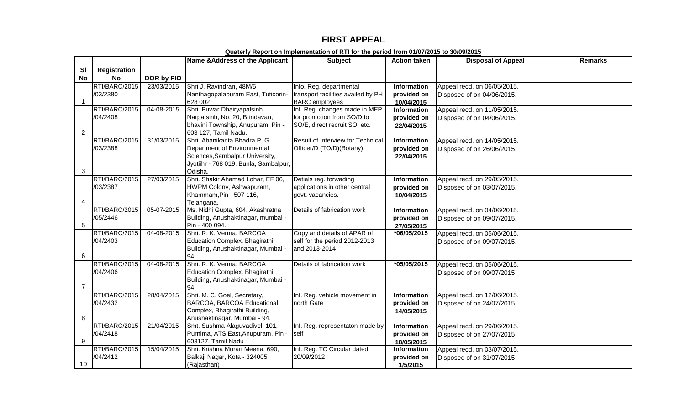## **FIRST APPEAL**

|                |                     |            | Name & Address of the Applicant                | <b>Subject</b>                     | <b>Action taken</b>       | <b>Disposal of Appeal</b>   | <b>Remarks</b> |
|----------------|---------------------|------------|------------------------------------------------|------------------------------------|---------------------------|-----------------------------|----------------|
| <b>SI</b>      | <b>Registration</b> |            |                                                |                                    |                           |                             |                |
| <b>No</b>      | <b>No</b>           | DOR by PIO |                                                |                                    |                           |                             |                |
|                | RTI/BARC/2015       | 23/03/2015 | Shri J. Ravindran, 48M/5                       | Info. Reg. departmental            | <b>Information</b>        | Appeal recd. on 06/05/2015. |                |
|                | /03/2380            |            | Nanthagopalapuram East, Tuticorin-             | transport facilities availed by PH | provided on               | Disposed of on 04/06/2015.  |                |
| $\mathbf 1$    |                     |            | 628 002                                        | <b>BARC</b> employees              | 10/04/2015                |                             |                |
|                | RTI/BARC/2015       | 04-08-2015 | Shri. Puwar Dhairyapalsinh                     | Inf. Reg. changes made in MEP      | Information               | Appeal recd. on 11/05/2015. |                |
|                | /04/2408            |            | Narpatsinh, No. 20, Brindavan,                 | for promotion from SO/D to         | provided on               | Disposed of on 04/06/2015.  |                |
|                |                     |            | bhavini Township, Anupuram, Pin -              | SO/E, direct recruit SO, etc.      | 22/04/2015                |                             |                |
| $\overline{2}$ |                     |            | 603 127, Tamil Nadu.                           |                                    |                           |                             |                |
|                | RTI/BARC/2015       | 31/03/2015 | Shri. Abanikanta Bhadra, P. G.                 | Result of Interview for Technical  | Information               | Appeal recd. on 14/05/2015. |                |
|                | /03/2388            |            | Department of Environmental                    | Officer/D (TO/D)(Botany)           | provided on               | Disposed of on 26/06/2015.  |                |
|                |                     |            | Sciences, Sambalpur University,                |                                    | 22/04/2015                |                             |                |
|                |                     |            | Jyotiihr - 768 019, Bunla, Sambalpur,          |                                    |                           |                             |                |
| 3              |                     |            | Odisha.                                        |                                    |                           |                             |                |
|                | RTI/BARC/2015       | 27/03/2015 | Shri. Shakir Ahamad Lohar, EF 06,              | Detials reg. forwading             | <b>Information</b>        | Appeal recd. on 29/05/2015. |                |
|                | /03/2387            |            | HWPM Colony, Ashwapuram,                       | applications in other central      | provided on               | Disposed of on 03/07/2015.  |                |
| 4              |                     |            | Khammam, Pin - 507 116,                        | govt. vacancies.                   | 10/04/2015                |                             |                |
|                | RTI/BARC/2015       | 05-07-2015 | Telangana.<br>Ms. Nidhi Gupta, 604, Akashratna | Details of fabrication work        | Information               | Appeal recd. on 04/06/2015. |                |
|                | /05/2446            |            | Building, Anushaktinagar, mumbai -             |                                    |                           |                             |                |
| 5              |                     |            | Pin - 400 094.                                 |                                    | provided on<br>27/05/2015 | Disposed of on 09/07/2015.  |                |
|                | RTI/BARC/2015       | 04-08-2015 | Shri. R. K. Verma, BARCOA                      | Copy and details of APAR of        | *06/05/2015               | Appeal recd. on 05/06/2015. |                |
|                | /04/2403            |            | Education Complex, Bhagirathi                  | self for the period 2012-2013      |                           | Disposed of on 09/07/2015.  |                |
|                |                     |            | Building, Anushaktinagar, Mumbai -             | and 2013-2014                      |                           |                             |                |
| 6              |                     |            | 94.                                            |                                    |                           |                             |                |
|                | RTI/BARC/2015       | 04-08-2015 | Shri. R. K. Verma, BARCOA                      | Details of fabrication work        | *05/05/2015               | Appeal recd. on 05/06/2015. |                |
|                | /04/2406            |            | Education Complex, Bhagirathi                  |                                    |                           | Disposed of on 09/07/2015   |                |
|                |                     |            | Building, Anushaktinagar, Mumbai -             |                                    |                           |                             |                |
| $\overline{7}$ |                     |            | 94.                                            |                                    |                           |                             |                |
|                | RTI/BARC/2015       | 28/04/2015 | Shri. M. C. Goel, Secretary,                   | Inf. Reg. vehicle movement in      | <b>Information</b>        | Appeal recd. on 12/06/2015. |                |
|                | /04/2432            |            | BARCOA, BARCOA Educational                     | north Gate                         | provided on               | Disposed of on 24/07/2015   |                |
|                |                     |            | Complex, Bhagirathi Building,                  |                                    | 14/05/2015                |                             |                |
| 8              |                     |            | Anushaktinagar, Mumbai - 94.                   |                                    |                           |                             |                |
|                | RTI/BARC/2015       | 21/04/2015 | Smt. Sushma Alaguvadivel, 101,                 | Inf. Reg. representaton made by    | Information               | Appeal recd. on 29/06/2015. |                |
|                | /04/2418            |            | Purnima, ATS East, Anupuram, Pin -             | self                               | provided on               | Disposed of on 27/07/2015   |                |
| 9              |                     |            | 603127, Tamil Nadu                             |                                    | 18/05/2015                |                             |                |
|                | RTI/BARC/2015       | 15/04/2015 | Shri. Krishna Murari Meena, 690,               | Inf. Reg. TC Circular dated        | <b>Information</b>        | Appeal recd. on 03/07/2015. |                |
|                | /04/2412            |            | Balkaji Nagar, Kota - 324005                   | 20/09/2012                         | provided on               | Disposed of on 31/07/2015   |                |
| 10             |                     |            | (Rajasthan)                                    |                                    | 1/5/2015                  |                             |                |

**Quaterly Report on Implementation of RTI for the period from 01/07/2015 to 30/09/2015**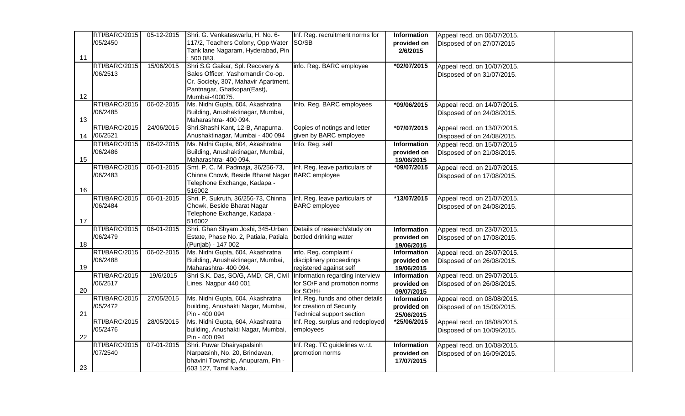|    | RTI/BARC/2015 | 05-12-2015 | Shri. G. Venkateswarlu, H. No. 6-               | Inf. Reg. recruitment norms for   | Information | Appeal recd. on 06/07/2015. |  |
|----|---------------|------------|-------------------------------------------------|-----------------------------------|-------------|-----------------------------|--|
|    | /05/2450      |            | 117/2, Teachers Colony, Opp Water               | SO/SB                             | provided on | Disposed of on 27/07/2015   |  |
|    |               |            | Tank lane Nagaram, Hyderabad, Pin               |                                   | 2/6/2015    |                             |  |
| 11 |               |            | : 500 083.                                      |                                   |             |                             |  |
|    | RTI/BARC/2015 | 15/06/2015 | Shri S.G Gaikar, Spl. Recovery &                | info. Reg. BARC employee          | *02/07/2015 | Appeal recd. on 10/07/2015. |  |
|    | /06/2513      |            | Sales Officer, Yashomandir Co-op.               |                                   |             | Disposed of on 31/07/2015.  |  |
|    |               |            | Cr. Society, 307, Mahavir Apartment,            |                                   |             |                             |  |
|    |               |            | Pantnagar, Ghatkopar(East),                     |                                   |             |                             |  |
| 12 |               |            | Mumbai-400075.                                  |                                   |             |                             |  |
|    | RTI/BARC/2015 | 06-02-2015 | Ms. Nidhi Gupta, 604, Akashratna                | Info. Reg. BARC employees         | *09/06/2015 | Appeal recd. on 14/07/2015. |  |
|    | /06/2485      |            | Building, Anushaktinagar, Mumbai,               |                                   |             | Disposed of on 24/08/2015.  |  |
| 13 |               |            | Maharashtra- 400 094.                           |                                   |             |                             |  |
|    | RTI/BARC/2015 | 24/06/2015 | Shri.Shashi Kant, 12-B, Anapurna,               | Copies of notings and letter      | *07/07/2015 | Appeal recd. on 13/07/2015. |  |
| 14 | /06/2521      |            | Anushaktinagar, Mumbai - 400 094                | given by BARC employee            |             | Disposed of on 24/08/2015.  |  |
|    | RTI/BARC/2015 | 06-02-2015 | Ms. Nidhi Gupta, 604, Akashratna                | Info. Reg. self                   | Information | Appeal recd. on 15/07/2015  |  |
|    | /06/2486      |            | Building, Anushaktinagar, Mumbai,               |                                   | provided on | Disposed of on 21/08/2015.  |  |
| 15 |               |            | Maharashtra- 400 094.                           |                                   | 19/06/2015  |                             |  |
|    | RTI/BARC/2015 | 06-01-2015 | Smt. P. C. M. Padmaja, 36/256-73,               | Inf. Reg. leave particulars of    | *09/07/2015 | Appeal recd. on 21/07/2015. |  |
|    | /06/2483      |            | Chinna Chowk, Beside Bharat Nagar BARC employee |                                   |             | Disposed of on 17/08/2015.  |  |
|    |               |            | Telephone Exchange, Kadapa -                    |                                   |             |                             |  |
| 16 |               |            | 516002                                          |                                   |             |                             |  |
|    | RTI/BARC/2015 | 06-01-2015 | Shri. P. Sukruth, 36/256-73, Chinna             | Inf. Reg. leave particulars of    | *13/07/2015 | Appeal recd. on 21/07/2015. |  |
|    | /06/2484      |            | Chowk, Beside Bharat Nagar                      | <b>BARC</b> employee              |             | Disposed of on 24/08/2015.  |  |
|    |               |            | Telephone Exchange, Kadapa -                    |                                   |             |                             |  |
| 17 |               |            | 516002                                          |                                   |             |                             |  |
|    | RTI/BARC/2015 | 06-01-2015 | Shri. Ghan Shyam Joshi, 345-Urban               | Details of research/study on      | Information | Appeal recd. on 23/07/2015. |  |
|    | /06/2479      |            | Estate, Phase No. 2, Patiala, Patiala           | bottled drinking water            | provided on | Disposed of on 17/08/2015.  |  |
| 18 |               |            | (Punjab) - 147 002                              |                                   | 19/06/2015  |                             |  |
|    | RTI/BARC/2015 | 06-02-2015 | Ms. Nidhi Gupta, 604, Akashratna                | info. Reg. complaint /            | Information | Appeal recd. on 28/07/2015. |  |
|    | /06/2488      |            | Building, Anushaktinagar, Mumbai,               | disciplinary proceedings          | provided on | Disposed of on 26/08/2015.  |  |
| 19 |               |            | Maharashtra- 400 094.                           | registered against self           | 19/06/2015  |                             |  |
|    | RTI/BARC/2015 | 19/6/2015  | Shri S.K. Das, SO/G, AMD, CR, Civil             | Information regarding interview   | Information | Appeal recd. on 29/07/2015. |  |
|    | /06/2517      |            | Lines, Nagpur 440 001                           | for SO/F and promotion norms      | provided on | Disposed of on 26/08/2015.  |  |
| 20 |               |            |                                                 | for SO/H+                         | 09/07/2015  |                             |  |
|    | RTI/BARC/2015 | 27/05/2015 | Ms. Nidhi Gupta, 604, Akashratna                | Inf. Reg. funds and other details | Information | Appeal recd. on 08/08/2015. |  |
|    | /05/2472      |            | building, Anushakti Nagar, Mumbai,              | for creation of Security          | provided on | Disposed of on 15/09/2015.  |  |
| 21 |               |            | Pin - 400 094                                   | Technical support section         | 25/06/2015  |                             |  |
|    | RTI/BARC/2015 | 28/05/2015 | Ms. Nidhi Gupta, 604, Akashratna                | Inf. Reg. surplus and redeployed  | *25/06/2015 | Appeal recd. on 08/08/2015. |  |
|    | /05/2476      |            | building, Anushakti Nagar, Mumbai,              | employees                         |             | Disposed of on 10/09/2015.  |  |
| 22 |               |            | Pin - 400 094                                   |                                   |             |                             |  |
|    | RTI/BARC/2015 | 07-01-2015 | Shri. Puwar Dhairyapalsinh                      | Inf. Reg. TC guidelines w.r.t.    | Information | Appeal recd. on 10/08/2015. |  |
|    | /07/2540      |            | Narpatsinh, No. 20, Brindavan,                  | promotion norms                   | provided on | Disposed of on 16/09/2015.  |  |
|    |               |            | bhavini Township, Anupuram, Pin -               |                                   | 17/07/2015  |                             |  |
| 23 |               |            | 603 127, Tamil Nadu.                            |                                   |             |                             |  |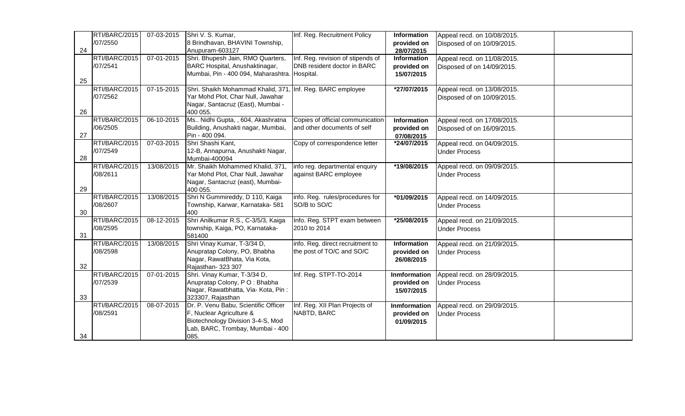|    | RTI/BARC/2015 | 07-03-2015 | Shri V. S. Kumar,                                          | Inf. Reg. Recruitment Policy      | Information  | Appeal recd. on 10/08/2015. |  |
|----|---------------|------------|------------------------------------------------------------|-----------------------------------|--------------|-----------------------------|--|
|    | /07/2550      |            | 8 Brindhavan, BHAVINI Township,                            |                                   | provided on  | Disposed of on 10/09/2015.  |  |
| 24 |               |            | Anupuram-603127                                            |                                   | 28/07/2015   |                             |  |
|    | RTI/BARC/2015 | 07-01-2015 | Shri. Bhupesh Jain, RMO Quarters,                          | Inf. Reg. revision of stipends of | Information  | Appeal recd. on 11/08/2015. |  |
|    | /07/2541      |            | BARC Hospital, Anushaktinagar,                             | DNB resident doctor in BARC       | provided on  | Disposed of on 14/09/2015.  |  |
|    |               |            | Mumbai, Pin - 400 094, Maharashtra. Hospital.              |                                   | 15/07/2015   |                             |  |
| 25 |               |            |                                                            |                                   |              |                             |  |
|    | RTI/BARC/2015 | 07-15-2015 | Shri. Shaikh Mohammad Khalid, 371, Inf. Reg. BARC employee |                                   | *27/07/2015  | Appeal recd. on 13/08/2015. |  |
|    | /07/2562      |            | Yar Mohd Plot, Char Null, Jawahar                          |                                   |              | Disposed of on 10/09/2015.  |  |
|    |               |            | Nagar, Santacruz (East), Mumbai -                          |                                   |              |                             |  |
| 26 |               |            | 400 055.                                                   |                                   |              |                             |  |
|    | RTI/BARC/2015 | 06-10-2015 | Ms Nidhi Gupta, , 604, Akashratna                          | Copies of official communication  | Information  | Appeal recd. on 17/08/2015. |  |
|    | /06/2505      |            | Building, Anushakti nagar, Mumbai,                         | and other documents of self       | provided on  | Disposed of on 16/09/2015.  |  |
| 27 |               |            | Pin - 400 094.                                             |                                   | 07/08/2015   |                             |  |
|    | RTI/BARC/2015 | 07-03-2015 | Shri Shashi Kant,                                          | Copy of correspondence letter     | *24/07/2015  | Appeal recd. on 04/09/2015. |  |
|    | /07/2549      |            | 12-B, Annapurna, Anushakti Nagar,                          |                                   |              | <b>Under Process</b>        |  |
| 28 |               |            | Mumbai-400094                                              |                                   |              |                             |  |
|    | RTI/BARC/2015 | 13/08/2015 | Mr. Shaikh Mohammed Khalid, 371,                           | info reg. departmental enquiry    | *19/08/2015  | Appeal recd. on 09/09/2015. |  |
|    | /08/2611      |            | Yar Mohd Plot, Char Null, Jawahar                          | against BARC employee             |              | <b>Under Process</b>        |  |
|    |               |            | Nagar, Santacruz (east), Mumbai-                           |                                   |              |                             |  |
| 29 |               |            | 400 055.                                                   |                                   |              |                             |  |
|    | RTI/BARC/2015 | 13/08/2015 | Shri N Gummireddy, D 110, Kaiga                            | info. Reg. rules/procedures for   | *01/09/2015  | Appeal recd. on 14/09/2015. |  |
|    | /08/2607      |            | Township, Karwar, Karnataka- 581                           | SO/B to SO/C                      |              | <b>Under Process</b>        |  |
| 30 |               |            | 400                                                        |                                   |              |                             |  |
|    | RTI/BARC/2015 | 08-12-2015 | Shri Anilkumar R.S., C-3/5/3, Kaiga                        | Info. Reg. STPT exam between      | *25/08/2015  | Appeal recd. on 21/09/2015. |  |
|    | /08/2595      |            | township, Kaiga, PO, Karnataka-                            | 2010 to 2014                      |              | <b>Under Process</b>        |  |
| 31 |               |            | 581400                                                     |                                   |              |                             |  |
|    | RTI/BARC/2015 | 13/08/2015 | Shri Vinay Kumar, T-3/34 D,                                | info. Reg. direct recruitment to  | Information  | Appeal recd. on 21/09/2015. |  |
|    | /08/2598      |            | Anupratap Colony, PO, Bhabha                               | the post of TO/C and SO/C         | provided on  | <b>Under Process</b>        |  |
|    |               |            | Nagar, RawatBhata, Via Kota,                               |                                   | 26/08/2015   |                             |  |
| 32 |               |            | Rajasthan- 323 307                                         |                                   |              |                             |  |
|    | RTI/BARC/2015 | 07-01-2015 | Shri. Vinay Kumar, T-3/34 D,                               | Inf. Reg. STPT-TO-2014            | Inmformation | Appeal recd. on 28/09/2015. |  |
|    | /07/2539      |            | Anupratap Colony, PO: Bhabha                               |                                   | provided on  | <b>Under Process</b>        |  |
|    |               |            | Nagar, Rawatbhatta, Via- Kota, Pin:                        |                                   | 15/07/2015   |                             |  |
| 33 |               |            | 323307, Rajasthan                                          |                                   |              |                             |  |
|    | RTI/BARC/2015 | 08-07-2015 | Dr. P. Venu Babu, Scientific Officer                       | Inf. Reg. XII Plan Projects of    | Inmformation | Appeal recd. on 29/09/2015. |  |
|    | /08/2591      |            | F, Nuclear Agriculture &                                   | NABTD, BARC                       | provided on  | <b>Under Process</b>        |  |
|    |               |            | Biotechnology Division 3-4-S, Mod                          |                                   | 01/09/2015   |                             |  |
|    |               |            | Lab, BARC, Trombay, Mumbai - 400                           |                                   |              |                             |  |
| 34 |               |            | 085.                                                       |                                   |              |                             |  |